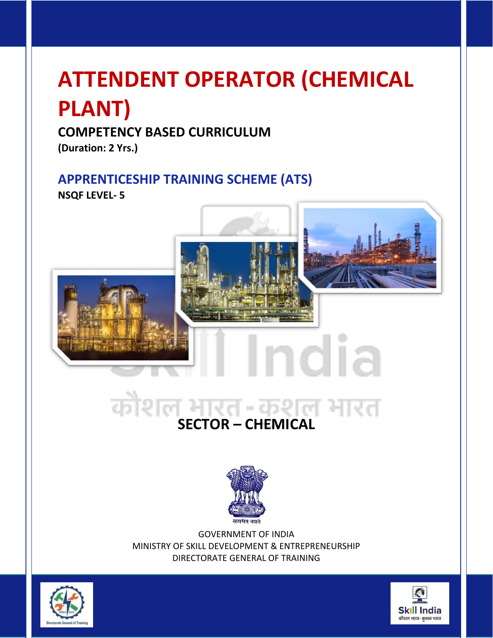# **ATTENDENT OPERATOR (CHEMICAL PLANT)**

# **COMPETENCY BASED CURRICULUM**

**(Duration: 2 Yrs.)**

# **APPRENTICESHIP TRAINING SCHEME (ATS)**

**NSQF LEVEL- 5**



# कौश **SECTOR – CHEMICAL**



GOVERNMENT OF INDIA MINISTRY OF SKILL DEVELOPMENT & ENTREPRENEURSHIP DIRECTORATE GENERAL OF TRAINING



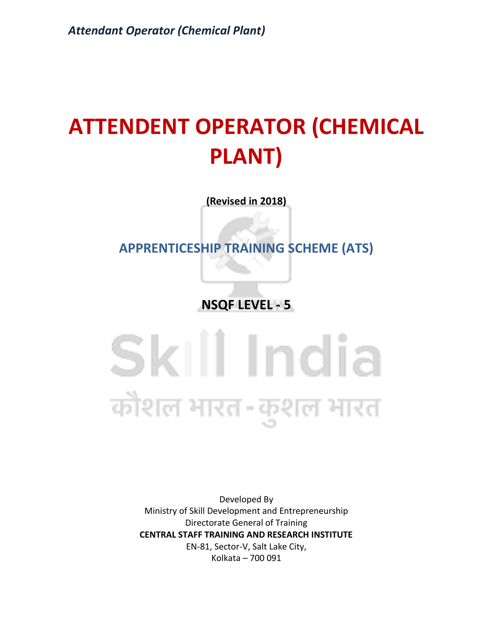# **ATTENDENT OPERATOR (CHEMICAL PLANT)**

**(Revised in 2018)**

**APPRENTICESHIP TRAINING SCHEME (ATS)**

**NSQF LEVEL - 5**

Skill India कोशल भारत-कुशल भारत

> Developed By Ministry of Skill Development and Entrepreneurship Directorate General of Training **CENTRAL STAFF TRAINING AND RESEARCH INSTITUTE** EN-81, Sector-V, Salt Lake City, Kolkata – 700 091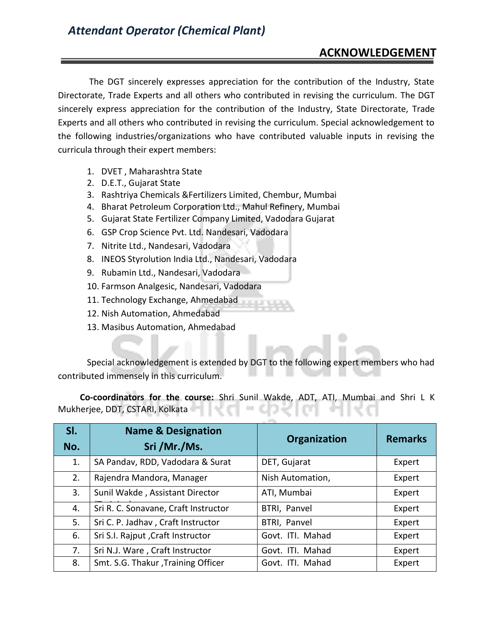#### **ACKNOWLEDGEMENT**

The DGT sincerely expresses appreciation for the contribution of the Industry, State Directorate, Trade Experts and all others who contributed in revising the curriculum. The DGT sincerely express appreciation for the contribution of the Industry, State Directorate, Trade Experts and all others who contributed in revising the curriculum. Special acknowledgement to the following industries/organizations who have contributed valuable inputs in revising the curricula through their expert members:

- 1. DVET , Maharashtra State
- 2. D.E.T., Gujarat State
- 3. Rashtriya Chemicals &Fertilizers Limited, Chembur, Mumbai
- 4. Bharat Petroleum Corporation Ltd., Mahul Refinery, Mumbai
- 5. Gujarat State Fertilizer Company Limited, Vadodara Gujarat
- 6. GSP Crop Science Pvt. Ltd. Nandesari, Vadodara
- 7. Nitrite Ltd., Nandesari, Vadodara
- 8. INEOS Styrolution India Ltd., Nandesari, Vadodara
- 9. Rubamin Ltd., Nandesari, Vadodara
- 10. Farmson Analgesic, Nandesari, Vadodara
- 11. Technology Exchange, Ahmedabad
- 12. Nish Automation, Ahmedabad
- 13. Masibus Automation, Ahmedabad

Special acknowledgement is extended by DGT to the following expert members who had contributed immensely in this curriculum.

 **Co-coordinators for the course:** Shri Sunil Wakde, ADT, ATI, Mumbai and Shri L K Mukherjee, DDT, CSTARI, Kolkata

| SI.<br>No. | <b>Name &amp; Designation</b><br>Sri /Mr./Ms. | Organization     | <b>Remarks</b> |
|------------|-----------------------------------------------|------------------|----------------|
| 1.         | SA Pandav, RDD, Vadodara & Surat              | DET, Gujarat     | Expert         |
| 2.         | Rajendra Mandora, Manager                     | Nish Automation, | Expert         |
| 3.         | Sunil Wakde, Assistant Director               | ATI, Mumbai      | Expert         |
| 4.         | Sri R. C. Sonavane, Craft Instructor          | BTRI, Panvel     | Expert         |
| 5.         | Sri C. P. Jadhav, Craft Instructor            | BTRI, Panvel     | Expert         |
| 6.         | Sri S.I. Rajput, Craft Instructor             | Govt. ITI. Mahad | Expert         |
| 7.         | Sri N.J. Ware, Craft Instructor               | Govt. ITI. Mahad | Expert         |
| 8.         | Smt. S.G. Thakur, Training Officer            | Govt. ITI. Mahad | Expert         |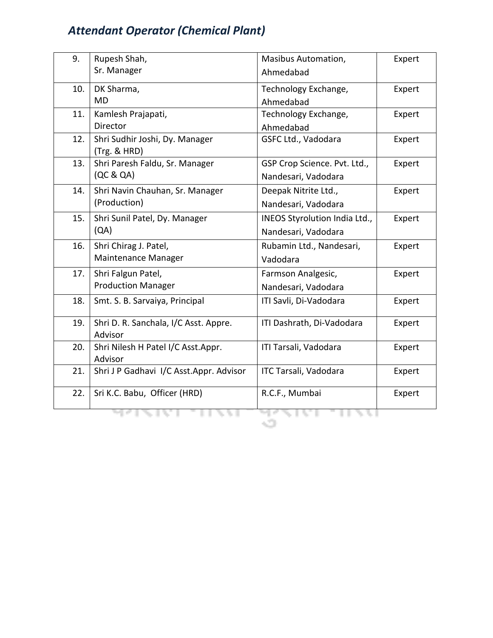| 9.  | Rupesh Shah,                                   | Masibus Automation,           | Expert |
|-----|------------------------------------------------|-------------------------------|--------|
|     | Sr. Manager                                    | Ahmedabad                     |        |
| 10. | DK Sharma,                                     | Technology Exchange,          | Expert |
|     | <b>MD</b>                                      | Ahmedabad                     |        |
| 11. | Kamlesh Prajapati,                             | Technology Exchange,          | Expert |
|     | <b>Director</b>                                | Ahmedabad                     |        |
| 12. | Shri Sudhir Joshi, Dy. Manager<br>(Trg. & HRD) | GSFC Ltd., Vadodara           | Expert |
| 13. | Shri Paresh Faldu, Sr. Manager                 | GSP Crop Science. Pvt. Ltd.,  | Expert |
|     | (QC & QA)                                      | Nandesari, Vadodara           |        |
| 14. | Shri Navin Chauhan, Sr. Manager                | Deepak Nitrite Ltd.,          | Expert |
|     | (Production)                                   | Nandesari, Vadodara           |        |
| 15. | Shri Sunil Patel, Dy. Manager                  | INEOS Styrolution India Ltd., | Expert |
|     | (QA)                                           | Nandesari, Vadodara           |        |
| 16. | Shri Chirag J. Patel,                          | Rubamin Ltd., Nandesari,      | Expert |
|     | Maintenance Manager                            | Vadodara                      |        |
| 17. | Shri Falgun Patel,                             | Farmson Analgesic,            | Expert |
|     | <b>Production Manager</b>                      | Nandesari, Vadodara           |        |
| 18. | Smt. S. B. Sarvaiya, Principal                 | ITI Savli, Di-Vadodara        | Expert |
| 19. | Shri D. R. Sanchala, I/C Asst. Appre.          | ITI Dashrath, Di-Vadodara     | Expert |
|     | Advisor                                        |                               |        |
| 20. | Shri Nilesh H Patel I/C Asst.Appr.<br>Advisor  | ITI Tarsali, Vadodara         | Expert |
| 21. | Shri J P Gadhavi I/C Asst.Appr. Advisor        | ITC Tarsali, Vadodara         | Expert |
|     |                                                |                               |        |
| 22. | Sri K.C. Babu, Officer (HRD)                   | R.C.F., Mumbai                | Expert |
|     |                                                |                               |        |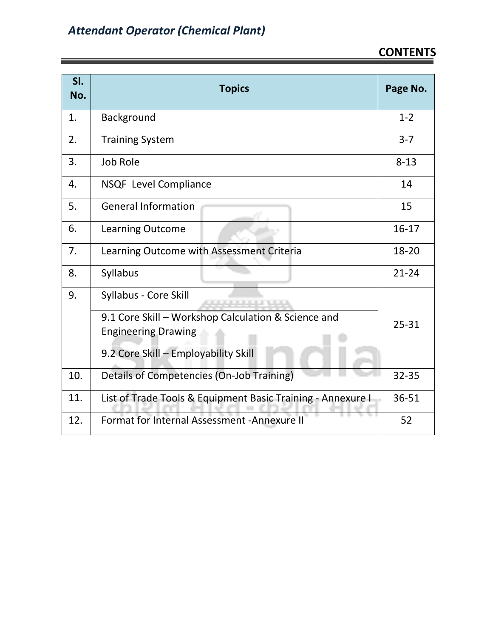| SI.<br>No. | <b>Topics</b>                                               | Page No.  |
|------------|-------------------------------------------------------------|-----------|
| 1.         | Background                                                  | $1 - 2$   |
| 2.         | <b>Training System</b>                                      | $3 - 7$   |
| 3.         | Job Role                                                    | $8 - 13$  |
| 4.         | NSQF Level Compliance                                       | 14        |
| 5.         | <b>General Information</b>                                  | 15        |
| 6.         | Learning Outcome                                            | $16-17$   |
| 7.         | Learning Outcome with Assessment Criteria                   | 18-20     |
| 8.         | Syllabus                                                    | $21 - 24$ |
| 9.         | Syllabus - Core Skill                                       |           |
|            | 9.1 Core Skill - Workshop Calculation & Science and         | $25 - 31$ |
|            | <b>Engineering Drawing</b>                                  |           |
|            | 9.2 Core Skill - Employability Skill                        |           |
| 10.        | Details of Competencies (On-Job Training)                   | 32-35     |
| 11.        | List of Trade Tools & Equipment Basic Training - Annexure I | 36-51     |
| 12.        | Format for Internal Assessment - Annexure II                | 52        |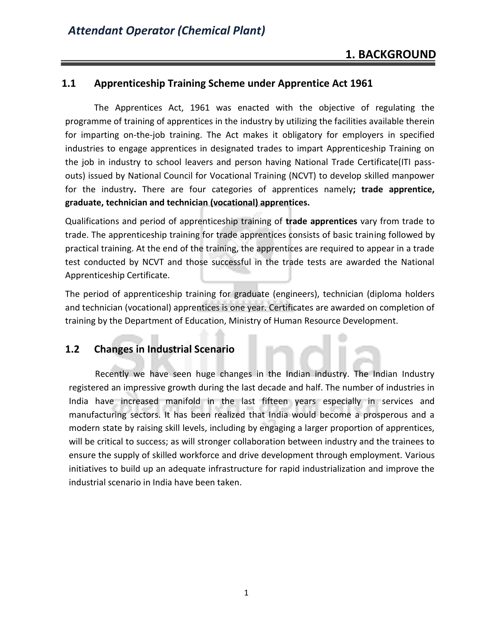#### **1.1 Apprenticeship Training Scheme under Apprentice Act 1961**

The Apprentices Act, 1961 was enacted with the objective of regulating the programme of training of apprentices in the industry by utilizing the facilities available therein for imparting on-the-job training. The Act makes it obligatory for employers in specified industries to engage apprentices in designated trades to impart Apprenticeship Training on the job in industry to school leavers and person having National Trade Certificate(ITI passouts) issued by National Council for Vocational Training (NCVT) to develop skilled manpower for the industry**.** There are four categories of apprentices namely**; trade apprentice, graduate, technician and technician (vocational) apprentices.** 

Qualifications and period of apprenticeship training of **trade apprentices** vary from trade to trade. The apprenticeship training for trade apprentices consists of basic training followed by practical training. At the end of the training, the apprentices are required to appear in a trade test conducted by NCVT and those successful in the trade tests are awarded the National Apprenticeship Certificate.

The period of apprenticeship training for graduate (engineers), technician (diploma holders and technician (vocational) apprentices is one year. Certificates are awarded on completion of training by the Department of Education, Ministry of Human Resource Development.

#### **1.2 Changes in Industrial Scenario**

 Recently we have seen huge changes in the Indian industry. The Indian Industry registered an impressive growth during the last decade and half. The number of industries in India have increased manifold in the last fifteen years especially in services and manufacturing sectors. It has been realized that India would become a prosperous and a modern state by raising skill levels, including by engaging a larger proportion of apprentices, will be critical to success; as will stronger collaboration between industry and the trainees to ensure the supply of skilled workforce and drive development through employment. Various initiatives to build up an adequate infrastructure for rapid industrialization and improve the industrial scenario in India have been taken.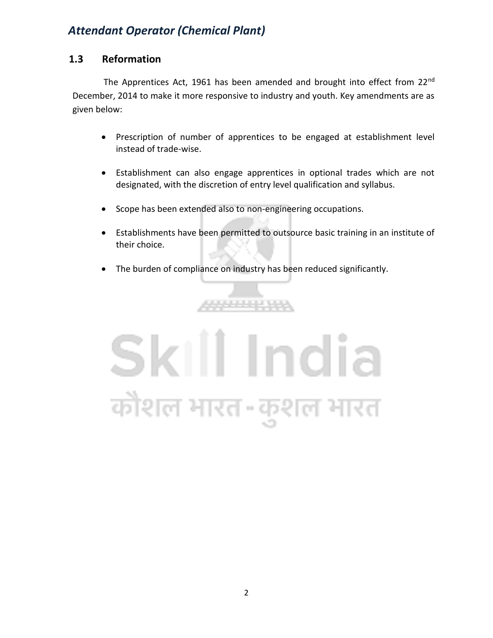#### **1.3 Reformation**

The Apprentices Act, 1961 has been amended and brought into effect from 22<sup>nd</sup> December, 2014 to make it more responsive to industry and youth. Key amendments are as given below:

- Prescription of number of apprentices to be engaged at establishment level instead of trade-wise.
- Establishment can also engage apprentices in optional trades which are not designated, with the discretion of entry level qualification and syllabus.
- Scope has been extended also to non-engineering occupations.
- Establishments have been permitted to outsource basic training in an institute of their choice.
- The burden of compliance on industry has been reduced significantly.

الافترادات الانتقاد

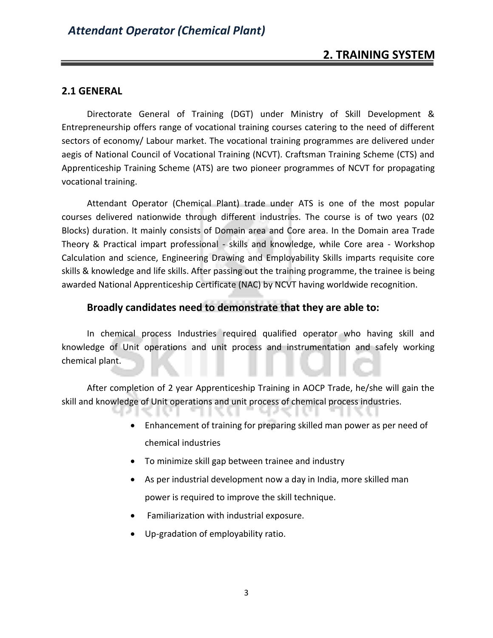#### **2.1 GENERAL**

Directorate General of Training (DGT) under Ministry of Skill Development & Entrepreneurship offers range of vocational training courses catering to the need of different sectors of economy/ Labour market. The vocational training programmes are delivered under aegis of National Council of Vocational Training (NCVT). Craftsman Training Scheme (CTS) and Apprenticeship Training Scheme (ATS) are two pioneer programmes of NCVT for propagating vocational training.

Attendant Operator (Chemical Plant) trade under ATS is one of the most popular courses delivered nationwide through different industries. The course is of two years (02 Blocks) duration. It mainly consists of Domain area and Core area. In the Domain area Trade Theory & Practical impart professional - skills and knowledge, while Core area - Workshop Calculation and science, Engineering Drawing and Employability Skills imparts requisite core skills & knowledge and life skills. After passing out the training programme, the trainee is being awarded National Apprenticeship Certificate (NAC) by NCVT having worldwide recognition.

#### **Broadly candidates need to demonstrate that they are able to:**

In chemical process Industries required qualified operator who having skill and knowledge of Unit operations and unit process and instrumentation and safely working chemical plant.

After completion of 2 year Apprenticeship Training in AOCP Trade, he/she will gain the skill and knowledge of Unit operations and unit process of chemical process industries.

- Enhancement of training for preparing skilled man power as per need of chemical industries
- To minimize skill gap between trainee and industry
- As per industrial development now a day in India, more skilled man power is required to improve the skill technique.
- Familiarization with industrial exposure.
- Up-gradation of employability ratio.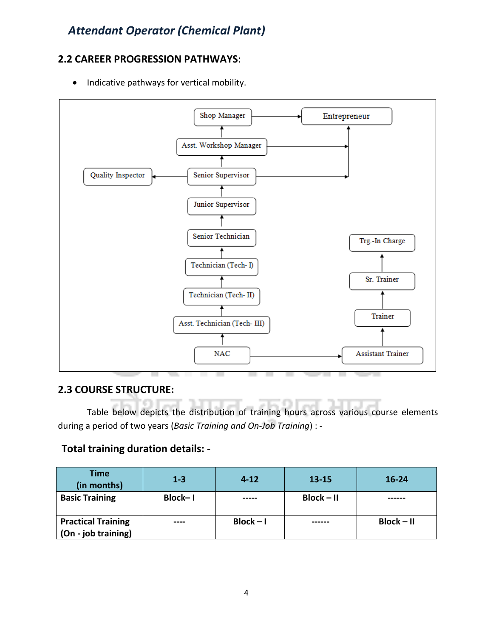#### **2.2 CAREER PROGRESSION PATHWAYS**:

• Indicative pathways for vertical mobility.



#### **2.3 COURSE STRUCTURE:**

Table below depicts the distribution of training hours across various course elements during a period of two years (*Basic Training and On-Job Training*) : -

#### **Total training duration details: -**

| <b>Time</b><br>(in months)                       | $1 - 3$ | $4 - 12$    | $13 - 15$    | $16 - 24$    |
|--------------------------------------------------|---------|-------------|--------------|--------------|
| <b>Basic Training</b>                            | Block-1 | -----       | $Block - II$ |              |
| <b>Practical Training</b><br>(On - job training) | ----    | $Block - I$ |              | $Block - II$ |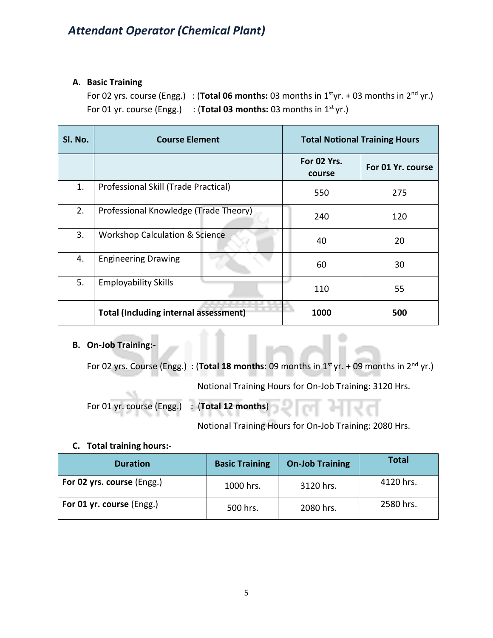#### **A. Basic Training**

For 02 yrs. course (Engg.) : (**Total 06 months:** 03 months in 1styr. + 03 months in 2nd yr.) For 01 yr. course (Engg.) : (Total 03 months: 03 months in 1<sup>st</sup> yr.)

| SI. No. | <b>Course Element</b>                        | <b>Total Notional Training Hours</b> |                   |
|---------|----------------------------------------------|--------------------------------------|-------------------|
|         |                                              | For 02 Yrs.<br>course                | For 01 Yr. course |
| 1.      | Professional Skill (Trade Practical)         | 550                                  | 275               |
| 2.      | Professional Knowledge (Trade Theory)        | 240                                  | 120               |
| 3.      | <b>Workshop Calculation &amp; Science</b>    | 40                                   | 20                |
| 4.      | <b>Engineering Drawing</b>                   | 60                                   | 30                |
| 5.      | <b>Employability Skills</b>                  | 110                                  | 55                |
|         | <b>Total (Including internal assessment)</b> | 1000                                 | 500               |

#### **B. On-Job Training:-**

For 02 yrs. Course (Engg.) : (**Total 18 months:** 09 months in 1st yr. + 09 months in 2nd yr.)

Notional Training Hours for On-Job Training: 3120 Hrs.

For 01 yr. course (Engg.) : (**Total 12 months**)

Notional Training Hours for On-Job Training: 2080 Hrs.

#### **C. Total training hours:-**

| <b>Duration</b>            | <b>Basic Training</b> | <b>On-Job Training</b> | <b>Total</b> |
|----------------------------|-----------------------|------------------------|--------------|
| For 02 yrs. course (Engg.) | 1000 hrs.             | 3120 hrs.              | 4120 hrs.    |
| For 01 yr. course (Engg.)  | 500 hrs.              | 2080 hrs.              | 2580 hrs.    |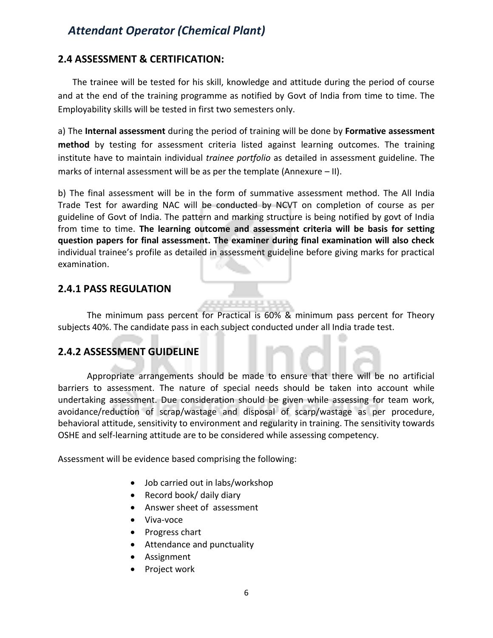#### **2.4 ASSESSMENT & CERTIFICATION:**

The trainee will be tested for his skill, knowledge and attitude during the period of course and at the end of the training programme as notified by Govt of India from time to time. The Employability skills will be tested in first two semesters only.

a) The **Internal assessment** during the period of training will be done by **Formative assessment method** by testing for assessment criteria listed against learning outcomes. The training institute have to maintain individual *trainee portfolio* as detailed in assessment guideline. The marks of internal assessment will be as per the template (Annexure – II).

b) The final assessment will be in the form of summative assessment method. The All India Trade Test for awarding NAC will be conducted by NCVT on completion of course as per guideline of Govt of India. The pattern and marking structure is being notified by govt of India from time to time. **The learning outcome and assessment criteria will be basis for setting question papers for final assessment. The examiner during final examination will also check**  individual trainee's profile as detailed in assessment guideline before giving marks for practical examination.

#### **2.4.1 PASS REGULATION**

The minimum pass percent for Practical is 60% & minimum pass percent for Theory subjects 40%. The candidate pass in each subject conducted under all India trade test.

#### **2.4.2 ASSESSMENT GUIDELINE**

Appropriate arrangements should be made to ensure that there will be no artificial barriers to assessment. The nature of special needs should be taken into account while undertaking assessment. Due consideration should be given while assessing for team work, avoidance/reduction of scrap/wastage and disposal of scarp/wastage as per procedure, behavioral attitude, sensitivity to environment and regularity in training. The sensitivity towards OSHE and self-learning attitude are to be considered while assessing competency.

Assessment will be evidence based comprising the following:

- Job carried out in labs/workshop
- Record book/ daily diary
- Answer sheet of assessment
- Viva-voce
- Progress chart
- Attendance and punctuality
- Assignment
- Project work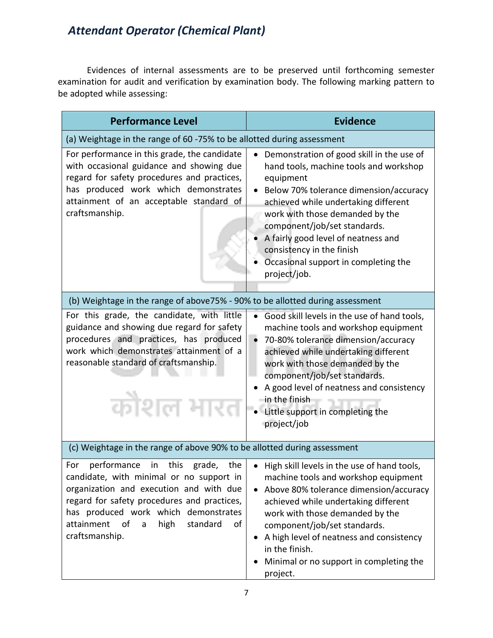Evidences of internal assessments are to be preserved until forthcoming semester examination for audit and verification by examination body. The following marking pattern to be adopted while assessing:

| <b>Performance Level</b>                                                                                                                                                                                                                                                                             | <b>Evidence</b>                                                                                                                                                                                                                                                                                                                                                                           |
|------------------------------------------------------------------------------------------------------------------------------------------------------------------------------------------------------------------------------------------------------------------------------------------------------|-------------------------------------------------------------------------------------------------------------------------------------------------------------------------------------------------------------------------------------------------------------------------------------------------------------------------------------------------------------------------------------------|
| (a) Weightage in the range of 60 -75% to be allotted during assessment                                                                                                                                                                                                                               |                                                                                                                                                                                                                                                                                                                                                                                           |
| For performance in this grade, the candidate<br>with occasional guidance and showing due<br>regard for safety procedures and practices,<br>has produced work which demonstrates<br>attainment of an acceptable standard of<br>craftsmanship.                                                         | Demonstration of good skill in the use of<br>hand tools, machine tools and workshop<br>equipment<br>Below 70% tolerance dimension/accuracy<br>achieved while undertaking different<br>work with those demanded by the<br>component/job/set standards.<br>A fairly good level of neatness and<br>consistency in the finish<br>Occasional support in completing the<br>project/job.         |
| (b) Weightage in the range of above75% - 90% to be allotted during assessment                                                                                                                                                                                                                        |                                                                                                                                                                                                                                                                                                                                                                                           |
| For this grade, the candidate, with little<br>guidance and showing due regard for safety<br>procedures and practices, has produced<br>work which demonstrates attainment of a<br>reasonable standard of craftsmanship.<br>कौशल भा                                                                    | Good skill levels in the use of hand tools,<br>machine tools and workshop equipment<br>70-80% tolerance dimension/accuracy<br>$\bullet$<br>achieved while undertaking different<br>work with those demanded by the<br>component/job/set standards.<br>A good level of neatness and consistency<br>in the finish<br>Little support in completing the<br>project/job                        |
| (c) Weightage in the range of above 90% to be allotted during assessment                                                                                                                                                                                                                             |                                                                                                                                                                                                                                                                                                                                                                                           |
| performance<br>this<br>grade,<br>For<br>in<br>the<br>candidate, with minimal or no support in<br>organization and execution and with due<br>regard for safety procedures and practices,<br>has produced work which demonstrates<br>attainment<br>of<br>high<br>standard<br>of<br>a<br>craftsmanship. | • High skill levels in the use of hand tools,<br>machine tools and workshop equipment<br>Above 80% tolerance dimension/accuracy<br>$\bullet$<br>achieved while undertaking different<br>work with those demanded by the<br>component/job/set standards.<br>A high level of neatness and consistency<br>$\bullet$<br>in the finish.<br>Minimal or no support in completing the<br>project. |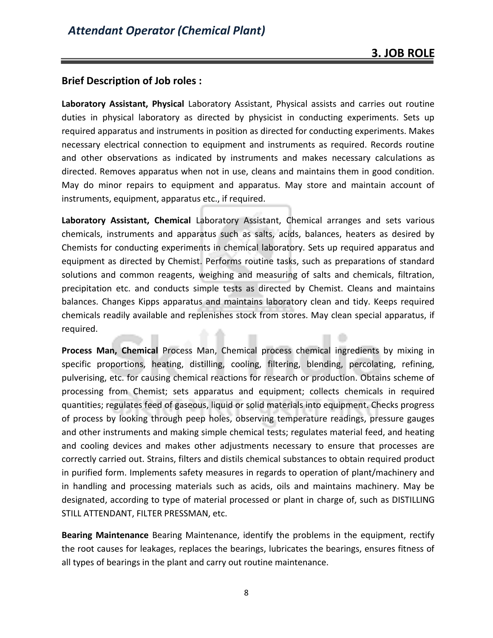#### **Brief Description of Job roles :**

**Laboratory Assistant, Physical** Laboratory Assistant, Physical assists and carries out routine duties in physical laboratory as directed by physicist in conducting experiments. Sets up required apparatus and instruments in position as directed for conducting experiments. Makes necessary electrical connection to equipment and instruments as required. Records routine and other observations as indicated by instruments and makes necessary calculations as directed. Removes apparatus when not in use, cleans and maintains them in good condition. May do minor repairs to equipment and apparatus. May store and maintain account of instruments, equipment, apparatus etc., if required.

**Laboratory Assistant, Chemical** Laboratory Assistant, Chemical arranges and sets various chemicals, instruments and apparatus such as salts, acids, balances, heaters as desired by Chemists for conducting experiments in chemical laboratory. Sets up required apparatus and equipment as directed by Chemist. Performs routine tasks, such as preparations of standard solutions and common reagents, weighing and measuring of salts and chemicals, filtration, precipitation etc. and conducts simple tests as directed by Chemist. Cleans and maintains balances. Changes Kipps apparatus and maintains laboratory clean and tidy. Keeps required chemicals readily available and replenishes stock from stores. May clean special apparatus, if required.

**Process Man, Chemical** Process Man, Chemical process chemical ingredients by mixing in specific proportions, heating, distilling, cooling, filtering, blending, percolating, refining, pulverising, etc. for causing chemical reactions for research or production. Obtains scheme of processing from Chemist; sets apparatus and equipment; collects chemicals in required quantities; regulates feed of gaseous, liquid or solid materials into equipment. Checks progress of process by looking through peep holes, observing temperature readings, pressure gauges and other instruments and making simple chemical tests; regulates material feed, and heating and cooling devices and makes other adjustments necessary to ensure that processes are correctly carried out. Strains, filters and distils chemical substances to obtain required product in purified form. Implements safety measures in regards to operation of plant/machinery and in handling and processing materials such as acids, oils and maintains machinery. May be designated, according to type of material processed or plant in charge of, such as DISTILLING STILL ATTENDANT, FILTER PRESSMAN, etc.

**Bearing Maintenance** Bearing Maintenance, identify the problems in the equipment, rectify the root causes for leakages, replaces the bearings, lubricates the bearings, ensures fitness of all types of bearings in the plant and carry out routine maintenance.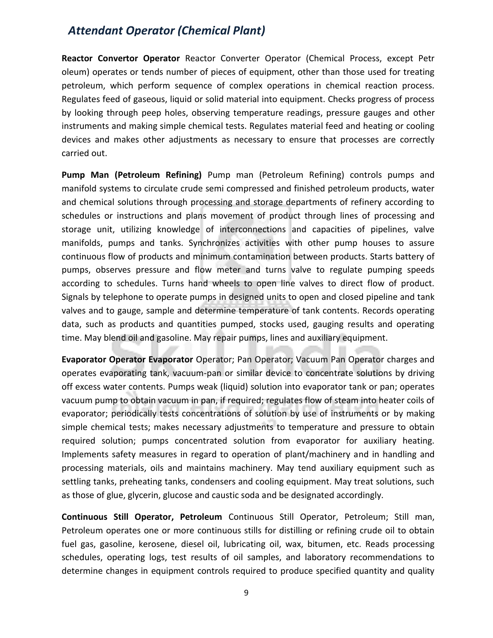**Reactor Convertor Operator** Reactor Converter Operator (Chemical Process, except Petr oleum) operates or tends number of pieces of equipment, other than those used for treating petroleum, which perform sequence of complex operations in chemical reaction process. Regulates feed of gaseous, liquid or solid material into equipment. Checks progress of process by looking through peep holes, observing temperature readings, pressure gauges and other instruments and making simple chemical tests. Regulates material feed and heating or cooling devices and makes other adjustments as necessary to ensure that processes are correctly carried out.

**Pump Man (Petroleum Refining)** Pump man (Petroleum Refining) controls pumps and manifold systems to circulate crude semi compressed and finished petroleum products, water and chemical solutions through processing and storage departments of refinery according to schedules or instructions and plans movement of product through lines of processing and storage unit, utilizing knowledge of interconnections and capacities of pipelines, valve manifolds, pumps and tanks. Synchronizes activities with other pump houses to assure continuous flow of products and minimum contamination between products. Starts battery of pumps, observes pressure and flow meter and turns valve to regulate pumping speeds according to schedules. Turns hand wheels to open line valves to direct flow of product. Signals by telephone to operate pumps in designed units to open and closed pipeline and tank valves and to gauge, sample and determine temperature of tank contents. Records operating data, such as products and quantities pumped, stocks used, gauging results and operating time. May blend oil and gasoline. May repair pumps, lines and auxiliary equipment.

**Evaporator Operator Evaporator** Operator; Pan Operator; Vacuum Pan Operator charges and operates evaporating tank, vacuum-pan or similar device to concentrate solutions by driving off excess water contents. Pumps weak (liquid) solution into evaporator tank or pan; operates vacuum pump to obtain vacuum in pan, if required; regulates flow of steam into heater coils of evaporator; periodically tests concentrations of solution by use of instruments or by making simple chemical tests; makes necessary adjustments to temperature and pressure to obtain required solution; pumps concentrated solution from evaporator for auxiliary heating. Implements safety measures in regard to operation of plant/machinery and in handling and processing materials, oils and maintains machinery. May tend auxiliary equipment such as settling tanks, preheating tanks, condensers and cooling equipment. May treat solutions, such as those of glue, glycerin, glucose and caustic soda and be designated accordingly.

**Continuous Still Operator, Petroleum** Continuous Still Operator, Petroleum; Still man, Petroleum operates one or more continuous stills for distilling or refining crude oil to obtain fuel gas, gasoline, kerosene, diesel oil, lubricating oil, wax, bitumen, etc. Reads processing schedules, operating logs, test results of oil samples, and laboratory recommendations to determine changes in equipment controls required to produce specified quantity and quality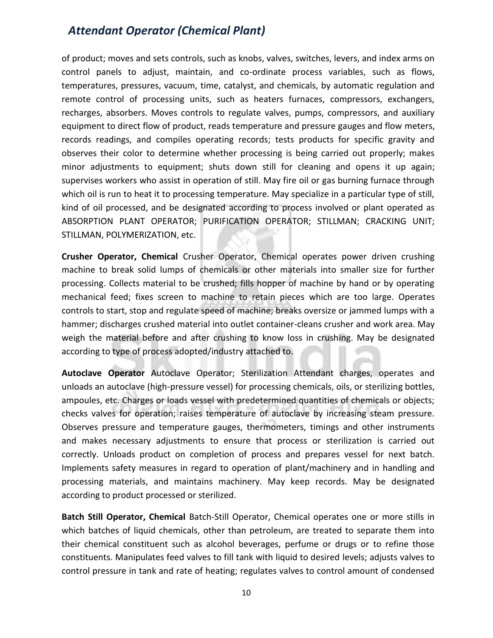of product; moves and sets controls, such as knobs, valves, switches, levers, and index arms on control panels to adjust, maintain, and co-ordinate process variables, such as flows, temperatures, pressures, vacuum, time, catalyst, and chemicals, by automatic regulation and remote control of processing units, such as heaters furnaces, compressors, exchangers, recharges, absorbers. Moves controls to regulate valves, pumps, compressors, and auxiliary equipment to direct flow of product, reads temperature and pressure gauges and flow meters, records readings, and compiles operating records; tests products for specific gravity and observes their color to determine whether processing is being carried out properly; makes minor adjustments to equipment; shuts down still for cleaning and opens it up again; supervises workers who assist in operation of still. May fire oil or gas burning furnace through which oil is run to heat it to processing temperature. May specialize in a particular type of still, kind of oil processed, and be designated according to process involved or plant operated as ABSORPTION PLANT OPERATOR; PURIFICATION OPERATOR; STILLMAN; CRACKING UNIT; STILLMAN, POLYMERIZATION, etc.

**Crusher Operator, Chemical** Crusher Operator, Chemical operates power driven crushing machine to break solid lumps of chemicals or other materials into smaller size for further processing. Collects material to be crushed; fills hopper of machine by hand or by operating mechanical feed; fixes screen to machine to retain pieces which are too large. Operates controls to start, stop and regulate speed of machine; breaks oversize or jammed lumps with a hammer; discharges crushed material into outlet container-cleans crusher and work area. May weigh the material before and after crushing to know loss in crushing. May be designated according to type of process adopted/industry attached to.

**Autoclave Operator** Autoclave Operator; Sterilization Attendant charges, operates and unloads an autoclave (high-pressure vessel) for processing chemicals, oils, or sterilizing bottles, ampoules, etc. Charges or loads vessel with predetermined quantities of chemicals or objects; checks valves for operation; raises temperature of autoclave by increasing steam pressure. Observes pressure and temperature gauges, thermometers, timings and other instruments and makes necessary adjustments to ensure that process or sterilization is carried out correctly. Unloads product on completion of process and prepares vessel for next batch. Implements safety measures in regard to operation of plant/machinery and in handling and processing materials, and maintains machinery. May keep records. May be designated according to product processed or sterilized.

**Batch Still Operator, Chemical** Batch-Still Operator, Chemical operates one or more stills in which batches of liquid chemicals, other than petroleum, are treated to separate them into their chemical constituent such as alcohol beverages, perfume or drugs or to refine those constituents. Manipulates feed valves to fill tank with liquid to desired levels; adjusts valves to control pressure in tank and rate of heating; regulates valves to control amount of condensed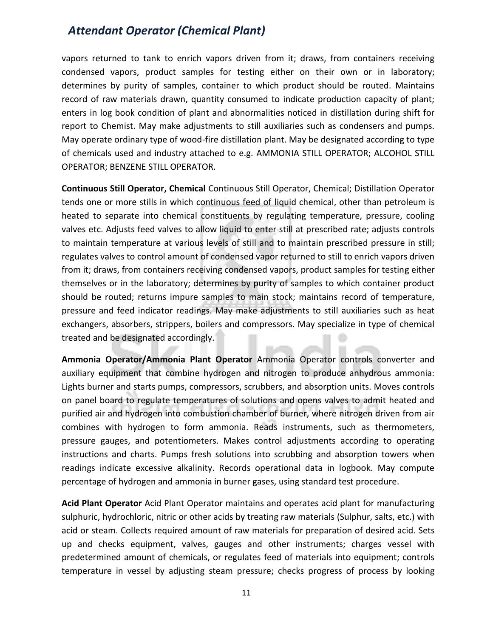vapors returned to tank to enrich vapors driven from it; draws, from containers receiving condensed vapors, product samples for testing either on their own or in laboratory; determines by purity of samples, container to which product should be routed. Maintains record of raw materials drawn, quantity consumed to indicate production capacity of plant; enters in log book condition of plant and abnormalities noticed in distillation during shift for report to Chemist. May make adjustments to still auxiliaries such as condensers and pumps. May operate ordinary type of wood-fire distillation plant. May be designated according to type of chemicals used and industry attached to e.g. AMMONIA STILL OPERATOR; ALCOHOL STILL OPERATOR; BENZENE STILL OPERATOR.

**Continuous Still Operator, Chemical** Continuous Still Operator, Chemical; Distillation Operator tends one or more stills in which continuous feed of liquid chemical, other than petroleum is heated to separate into chemical constituents by regulating temperature, pressure, cooling valves etc. Adjusts feed valves to allow liquid to enter still at prescribed rate; adjusts controls to maintain temperature at various levels of still and to maintain prescribed pressure in still; regulates valves to control amount of condensed vapor returned to still to enrich vapors driven from it; draws, from containers receiving condensed vapors, product samples for testing either themselves or in the laboratory; determines by purity of samples to which container product should be routed; returns impure samples to main stock; maintains record of temperature, pressure and feed indicator readings. May make adjustments to still auxiliaries such as heat exchangers, absorbers, strippers, boilers and compressors. May specialize in type of chemical treated and be designated accordingly.

**Ammonia Operator/Ammonia Plant Operator** Ammonia Operator controls converter and auxiliary equipment that combine hydrogen and nitrogen to produce anhydrous ammonia: Lights burner and starts pumps, compressors, scrubbers, and absorption units. Moves controls on panel board to regulate temperatures of solutions and opens valves to admit heated and purified air and hydrogen into combustion chamber of burner, where nitrogen driven from air combines with hydrogen to form ammonia. Reads instruments, such as thermometers, pressure gauges, and potentiometers. Makes control adjustments according to operating instructions and charts. Pumps fresh solutions into scrubbing and absorption towers when readings indicate excessive alkalinity. Records operational data in logbook. May compute percentage of hydrogen and ammonia in burner gases, using standard test procedure.

**Acid Plant Operator** Acid Plant Operator maintains and operates acid plant for manufacturing sulphuric, hydrochloric, nitric or other acids by treating raw materials (Sulphur, salts, etc.) with acid or steam. Collects required amount of raw materials for preparation of desired acid. Sets up and checks equipment, valves, gauges and other instruments; charges vessel with predetermined amount of chemicals, or regulates feed of materials into equipment; controls temperature in vessel by adjusting steam pressure; checks progress of process by looking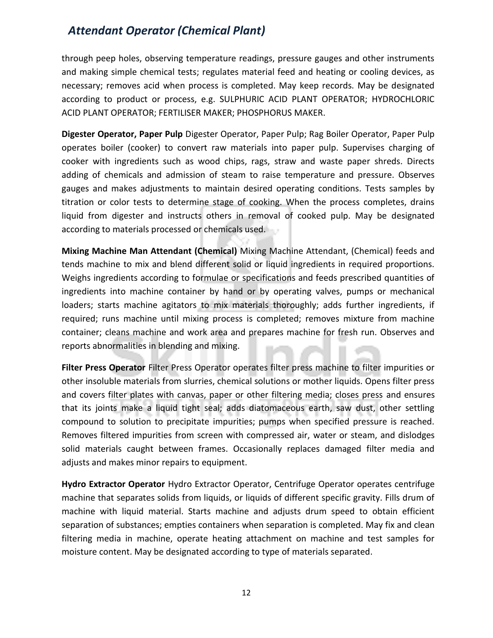through peep holes, observing temperature readings, pressure gauges and other instruments and making simple chemical tests; regulates material feed and heating or cooling devices, as necessary; removes acid when process is completed. May keep records. May be designated according to product or process, e.g. SULPHURIC ACID PLANT OPERATOR; HYDROCHLORIC ACID PLANT OPERATOR; FERTILISER MAKER; PHOSPHORUS MAKER.

**Digester Operator, Paper Pulp** Digester Operator, Paper Pulp; Rag Boiler Operator, Paper Pulp operates boiler (cooker) to convert raw materials into paper pulp. Supervises charging of cooker with ingredients such as wood chips, rags, straw and waste paper shreds. Directs adding of chemicals and admission of steam to raise temperature and pressure. Observes gauges and makes adjustments to maintain desired operating conditions. Tests samples by titration or color tests to determine stage of cooking. When the process completes, drains liquid from digester and instructs others in removal of cooked pulp. May be designated according to materials processed or chemicals used.

**Mixing Machine Man Attendant (Chemical)** Mixing Machine Attendant, (Chemical) feeds and tends machine to mix and blend different solid or liquid ingredients in required proportions. Weighs ingredients according to formulae or specifications and feeds prescribed quantities of ingredients into machine container by hand or by operating valves, pumps or mechanical loaders; starts machine agitators to mix materials thoroughly; adds further ingredients, if required; runs machine until mixing process is completed; removes mixture from machine container; cleans machine and work area and prepares machine for fresh run. Observes and reports abnormalities in blending and mixing.

**Filter Press Operator** Filter Press Operator operates filter press machine to filter impurities or other insoluble materials from slurries, chemical solutions or mother liquids. Opens filter press and covers filter plates with canvas, paper or other filtering media; closes press and ensures that its joints make a liquid tight seal; adds diatomaceous earth, saw dust, other settling compound to solution to precipitate impurities; pumps when specified pressure is reached. Removes filtered impurities from screen with compressed air, water or steam, and dislodges solid materials caught between frames. Occasionally replaces damaged filter media and adjusts and makes minor repairs to equipment.

**Hydro Extractor Operator** Hydro Extractor Operator, Centrifuge Operator operates centrifuge machine that separates solids from liquids, or liquids of different specific gravity. Fills drum of machine with liquid material. Starts machine and adjusts drum speed to obtain efficient separation of substances; empties containers when separation is completed. May fix and clean filtering media in machine, operate heating attachment on machine and test samples for moisture content. May be designated according to type of materials separated.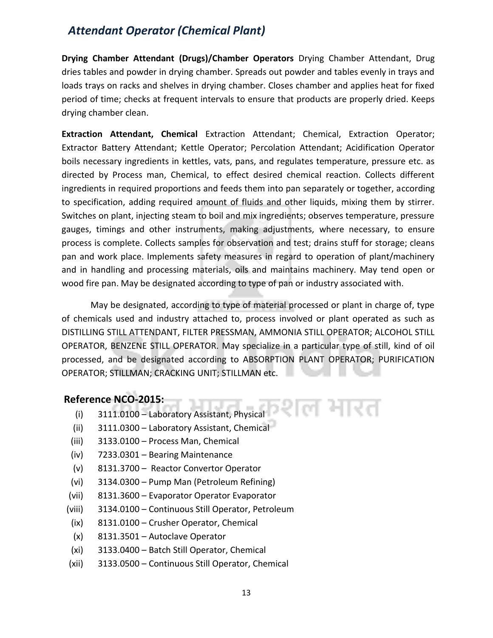**Drying Chamber Attendant (Drugs)/Chamber Operators** Drying Chamber Attendant, Drug dries tables and powder in drying chamber. Spreads out powder and tables evenly in trays and loads trays on racks and shelves in drying chamber. Closes chamber and applies heat for fixed period of time; checks at frequent intervals to ensure that products are properly dried. Keeps drying chamber clean.

**Extraction Attendant, Chemical** Extraction Attendant; Chemical, Extraction Operator; Extractor Battery Attendant; Kettle Operator; Percolation Attendant; Acidification Operator boils necessary ingredients in kettles, vats, pans, and regulates temperature, pressure etc. as directed by Process man, Chemical, to effect desired chemical reaction. Collects different ingredients in required proportions and feeds them into pan separately or together, according to specification, adding required amount of fluids and other liquids, mixing them by stirrer. Switches on plant, injecting steam to boil and mix ingredients; observes temperature, pressure gauges, timings and other instruments, making adjustments, where necessary, to ensure process is complete. Collects samples for observation and test; drains stuff for storage; cleans pan and work place. Implements safety measures in regard to operation of plant/machinery and in handling and processing materials, oils and maintains machinery. May tend open or wood fire pan. May be designated according to type of pan or industry associated with.

May be designated, according to type of material processed or plant in charge of, type of chemicals used and industry attached to, process involved or plant operated as such as DISTILLING STILL ATTENDANT, FILTER PRESSMAN, AMMONIA STILL OPERATOR; ALCOHOL STILL OPERATOR, BENZENE STILL OPERATOR. May specialize in a particular type of still, kind of oil processed, and be designated according to ABSORPTION PLANT OPERATOR; PURIFICATION OPERATOR; STILLMAN; CRACKING UNIT; STILLMAN etc.

ग्शल भारत

#### **Reference NCO-2015:**

- (i) 3111.0100 Laboratory Assistant, Physical
- (ii) 3111.0300 Laboratory Assistant, Chemical
- (iii) 3133.0100 Process Man, Chemical
- (iv) 7233.0301 Bearing Maintenance
- (v) 8131.3700 Reactor Convertor Operator
- (vi) 3134.0300 Pump Man (Petroleum Refining)
- (vii) 8131.3600 Evaporator Operator Evaporator
- (viii) 3134.0100 Continuous Still Operator, Petroleum
- (ix) 8131.0100 Crusher Operator, Chemical
- (x) 8131.3501 Autoclave Operator
- (xi) 3133.0400 Batch Still Operator, Chemical
- (xii) 3133.0500 Continuous Still Operator, Chemical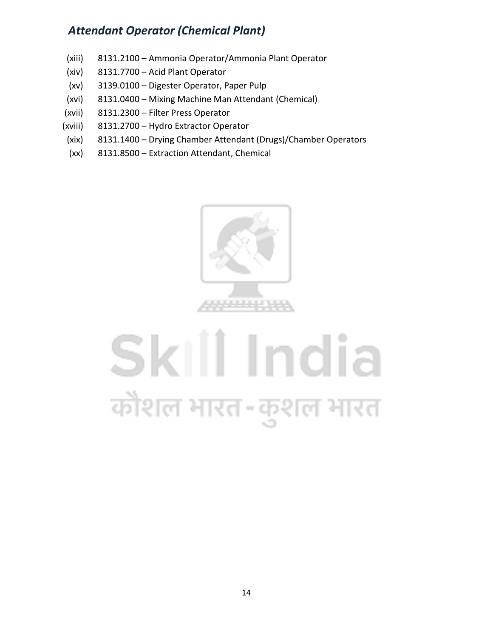- (xiii) 8131.2100 Ammonia Operator/Ammonia Plant Operator
- (xiv) 8131.7700 Acid Plant Operator
- (xv) 3139.0100 Digester Operator, Paper Pulp
- (xvi) 8131.0400 Mixing Machine Man Attendant (Chemical)
- (xvii) 8131.2300 Filter Press Operator
- (xviii) 8131.2700 Hydro Extractor Operator
- (xix) 8131.1400 Drying Chamber Attendant (Drugs)/Chamber Operators
- (xx) 8131.8500 Extraction Attendant, Chemical



# Skill India कोशल भारत-कुशल भारत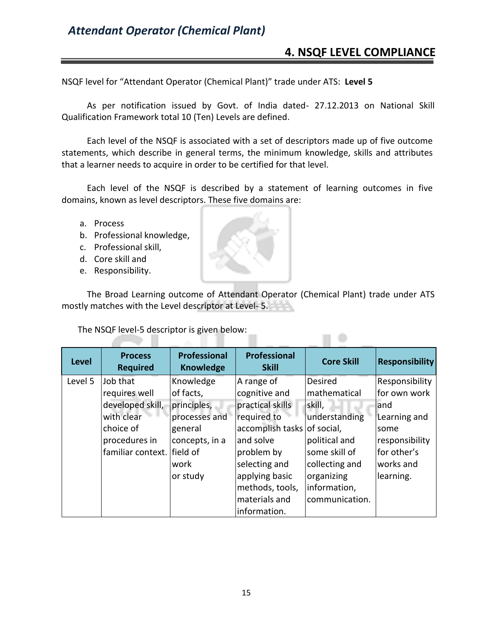#### **4. NSQF LEVEL COMPLIANCE**

n e

NSQF level for "Attendant Operator (Chemical Plant)" trade under ATS: **Level 5**

As per notification issued by Govt. of India dated- 27.12.2013 on National Skill Qualification Framework total 10 (Ten) Levels are defined.

Each level of the NSQF is associated with a set of descriptors made up of five outcome statements, which describe in general terms, the minimum knowledge, skills and attributes that a learner needs to acquire in order to be certified for that level.

Each level of the NSQF is described by a statement of learning outcomes in five domains, known as level descriptors. These five domains are:

- a. Process
- b. Professional knowledge,
- c. Professional skill,
- d. Core skill and
- e. Responsibility.

z.

The Broad Learning outcome of Attendant Operator (Chemical Plant) trade under ATS mostly matches with the Level descriptor at Level- 5.

The NSQF level-5 descriptor is given below:

- 1

| <b>Level</b> | <b>Process</b><br><b>Required</b> | Professional<br><b>Knowledge</b> | <b>Professional</b><br><b>Skill</b> | <b>Core Skill</b> | <b>Responsibility</b> |
|--------------|-----------------------------------|----------------------------------|-------------------------------------|-------------------|-----------------------|
| Level 5      | Job that                          | Knowledge                        | A range of                          | Desired           | Responsibility        |
|              | requires well                     | of facts,                        | cognitive and                       | mathematical      | for own work          |
|              | developed skill,                  | principles,                      | practical skills                    | skill,            | land                  |
|              | with clear                        | processes and                    | required to                         | understanding     | Learning and          |
|              | choice of                         | general                          | accomplish tasks of social,         |                   | some                  |
|              | procedures in                     | concepts, in a                   | and solve                           | political and     | responsibility        |
|              | familiar context. field of        |                                  | problem by                          | some skill of     | for other's           |
|              |                                   | work                             | selecting and                       | collecting and    | works and             |
|              |                                   | or study                         | applying basic                      | organizing        | learning.             |
|              |                                   |                                  | methods, tools,                     | information,      |                       |
|              |                                   |                                  | materials and                       | communication.    |                       |
|              |                                   |                                  | information.                        |                   |                       |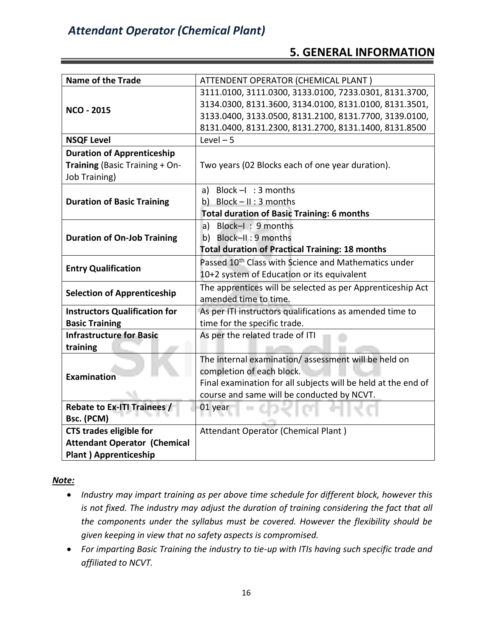#### **5. GENERAL INFORMATION**

| <b>Name of the Trade</b>             | ATTENDENT OPERATOR (CHEMICAL PLANT)                              |
|--------------------------------------|------------------------------------------------------------------|
|                                      | 3111.0100, 3111.0300, 3133.0100, 7233.0301, 8131.3700,           |
| <b>NCO - 2015</b>                    | 3134.0300, 8131.3600, 3134.0100, 8131.0100, 8131.3501,           |
|                                      | 3133.0400, 3133.0500, 8131.2100, 8131.7700, 3139.0100,           |
|                                      | 8131.0400, 8131.2300, 8131.2700, 8131.1400, 8131.8500            |
| <b>NSQF Level</b>                    | Level $-5$                                                       |
| <b>Duration of Apprenticeship</b>    |                                                                  |
| Training (Basic Training + On-       | Two years (02 Blocks each of one year duration).                 |
| <b>Job Training)</b>                 |                                                                  |
|                                      | Block $-1$ : 3 months<br>a)                                      |
| <b>Duration of Basic Training</b>    | b) Block $- II : 3$ months                                       |
|                                      | <b>Total duration of Basic Training: 6 months</b>                |
|                                      | a) Block-I: 9 months                                             |
| <b>Duration of On-Job Training</b>   | b) Block-II: 9 months                                            |
|                                      | <b>Total duration of Practical Training: 18 months</b>           |
| <b>Entry Qualification</b>           | Passed 10 <sup>th</sup> Class with Science and Mathematics under |
|                                      | 10+2 system of Education or its equivalent                       |
| <b>Selection of Apprenticeship</b>   | The apprentices will be selected as per Apprenticeship Act       |
|                                      | amended time to time.                                            |
| <b>Instructors Qualification for</b> | As per ITI instructors qualifications as amended time to         |
| <b>Basic Training</b>                | time for the specific trade.                                     |
| <b>Infrastructure for Basic</b>      | As per the related trade of ITI                                  |
| training                             |                                                                  |
|                                      | The internal examination/assessment will be held on              |
| <b>Examination</b>                   | completion of each block.                                        |
|                                      | Final examination for all subjects will be held at the end of    |
|                                      | course and same will be conducted by NCVT.                       |
| <b>Rebate to Ex-ITI Trainees /</b>   | 01 year                                                          |
| Bsc. (PCM)                           |                                                                  |
| <b>CTS trades eligible for</b>       | Attendant Operator (Chemical Plant)                              |
| <b>Attendant Operator (Chemical</b>  |                                                                  |
| <b>Plant ) Apprenticeship</b>        |                                                                  |

*Note:*

- *Industry may impart training as per above time schedule for different block, however this is not fixed. The industry may adjust the duration of training considering the fact that all the components under the syllabus must be covered. However the flexibility should be given keeping in view that no safety aspects is compromised.*
- *For imparting Basic Training the industry to tie-up with ITIs having such specific trade and affiliated to NCVT.*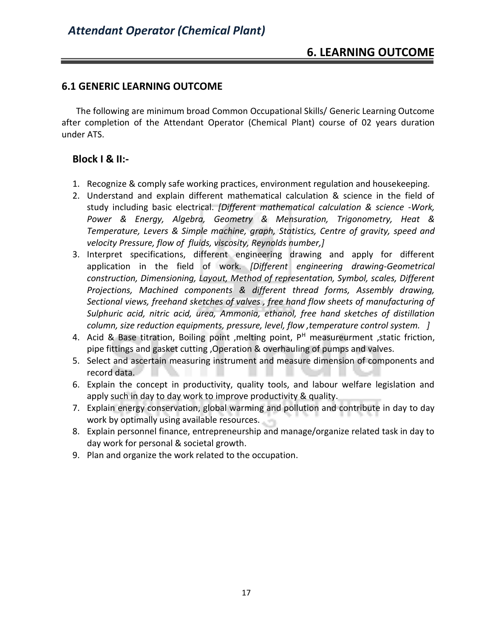#### **6.1 GENERIC LEARNING OUTCOME**

The following are minimum broad Common Occupational Skills/ Generic Learning Outcome after completion of the Attendant Operator (Chemical Plant) course of 02 years duration under ATS.

#### **Block I & II:-**

- 1. Recognize & comply safe working practices, environment regulation and housekeeping.
- 2. Understand and explain different mathematical calculation & science in the field of study including basic electrical. *[Different mathematical calculation & science -Work, Power & Energy, Algebra, Geometry & Mensuration, Trigonometry, Heat & Temperature, Levers & Simple machine, graph, Statistics, Centre of gravity, speed and velocity Pressure, flow of fluids, viscosity, Reynolds number,]*
- 3. Interpret specifications, different engineering drawing and apply for different application in the field of work. *[Different engineering drawing-Geometrical construction, Dimensioning, Layout, Method of representation, Symbol, scales, Different Projections, Machined components & different thread forms, Assembly drawing, Sectional views, freehand sketches of valves , free hand flow sheets of manufacturing of Sulphuric acid, nitric acid, urea, Ammonia, ethanol, free hand sketches of distillation column, size reduction equipments, pressure, level, flow ,temperature control system. ]*
- 4. Acid & Base titration, Boiling point , melting point,  $P<sup>H</sup>$  measureurment , static friction, pipe fittings and gasket cutting ,Operation & overhauling of pumps and valves.
- 5. Select and ascertain measuring instrument and measure dimension of components and record data.
- 6. Explain the concept in productivity, quality tools, and labour welfare legislation and apply such in day to day work to improve productivity & quality.
- 7. Explain energy conservation, global warming and pollution and contribute in day to day work by optimally using available resources.
- 8. Explain personnel finance, entrepreneurship and manage/organize related task in day to day work for personal & societal growth.
- 9. Plan and organize the work related to the occupation.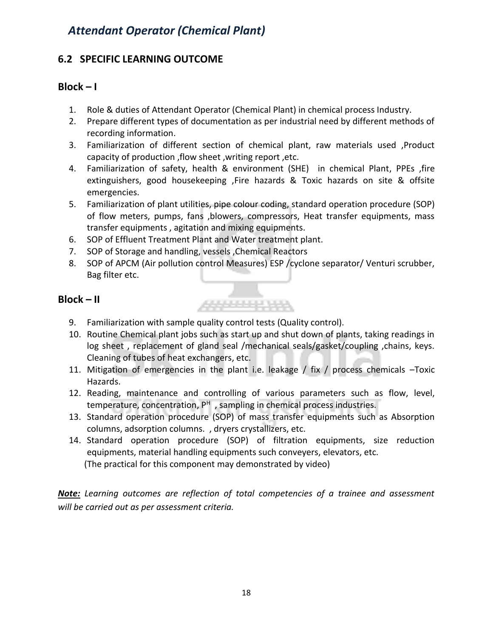#### **6.2 SPECIFIC LEARNING OUTCOME**

#### $Block - I$

- 1. Role & duties of Attendant Operator (Chemical Plant) in chemical process Industry.
- 2. Prepare different types of documentation as per industrial need by different methods of recording information.
- 3. Familiarization of different section of chemical plant, raw materials used ,Product capacity of production ,flow sheet ,writing report ,etc.
- 4. Familiarization of safety, health & environment (SHE) in chemical Plant, PPEs ,fire extinguishers, good housekeeping ,Fire hazards & Toxic hazards on site & offsite emergencies.
- 5. Familiarization of plant utilities, pipe colour coding, standard operation procedure (SOP) of flow meters, pumps, fans ,blowers, compressors, Heat transfer equipments, mass transfer equipments , agitation and mixing equipments.
- 6. SOP of Effluent Treatment Plant and Water treatment plant.
- 7. SOP of Storage and handling, vessels ,Chemical Reactors
- 8. SOP of APCM (Air pollution control Measures) ESP /cyclone separator/ Venturi scrubber, Bag filter etc.

\*\*\*\*\*\*\*\*\*\*\*

#### **Block – II**

- 9. Familiarization with sample quality control tests (Quality control).
- 10. Routine Chemical plant jobs such as start up and shut down of plants, taking readings in log sheet , replacement of gland seal /mechanical seals/gasket/coupling ,chains, keys. Cleaning of tubes of heat exchangers, etc.
- 11. Mitigation of emergencies in the plant i.e. leakage / fix / process chemicals –Toxic Hazards.
- 12. Reading, maintenance and controlling of various parameters such as flow, level, temperature, concentration, P<sup>H</sup>, sampling in chemical process industries.
- 13. Standard operation procedure (SOP) of mass transfer equipments such as Absorption columns, adsorption columns. , dryers crystallizers, etc.
- 14. Standard operation procedure (SOP) of filtration equipments, size reduction equipments, material handling equipments such conveyers, elevators, etc. (The practical for this component may demonstrated by video)

*Note: Learning outcomes are reflection of total competencies of a trainee and assessment will be carried out as per assessment criteria.*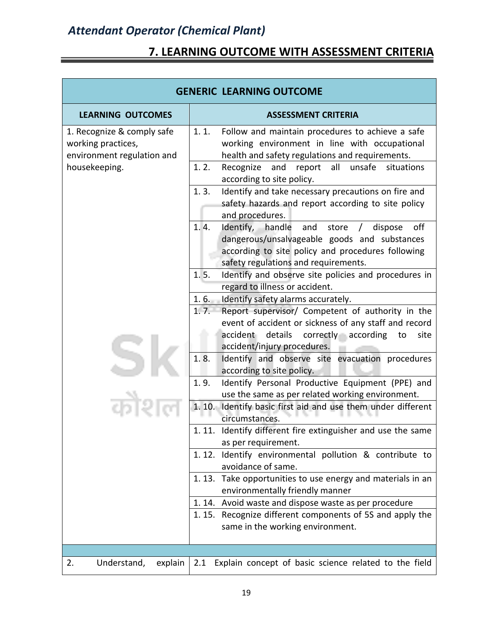# **7. LEARNING OUTCOME WITH ASSESSMENT CRITERIA**

| <b>GENERIC LEARNING OUTCOME</b>                                                |                                                                                                                                                                                                        |  |  |
|--------------------------------------------------------------------------------|--------------------------------------------------------------------------------------------------------------------------------------------------------------------------------------------------------|--|--|
| <b>LEARNING OUTCOMES</b>                                                       | <b>ASSESSMENT CRITERIA</b>                                                                                                                                                                             |  |  |
| 1. Recognize & comply safe<br>working practices,<br>environment regulation and | 1.1.<br>Follow and maintain procedures to achieve a safe<br>working environment in line with occupational<br>health and safety regulations and requirements.                                           |  |  |
| housekeeping.                                                                  | 1.2.<br>Recognize<br>and<br>all<br>unsafe<br>situations<br>report<br>according to site policy.                                                                                                         |  |  |
|                                                                                | 1.3.<br>Identify and take necessary precautions on fire and<br>safety hazards and report according to site policy<br>and procedures.                                                                   |  |  |
|                                                                                | 1.4.<br>Identify, handle<br>off<br>and store /<br>dispose<br>dangerous/unsalvageable goods and substances<br>according to site policy and procedures following<br>safety regulations and requirements. |  |  |
|                                                                                | 1.5.<br>Identify and observe site policies and procedures in<br>regard to illness or accident.                                                                                                         |  |  |
|                                                                                | 1.6.<br>Identify safety alarms accurately.                                                                                                                                                             |  |  |
|                                                                                | Report supervisor/ Competent of authority in the<br>1.7.<br>event of accident or sickness of any staff and record<br>accident details correctly according<br>to<br>site<br>accident/injury procedures. |  |  |
|                                                                                | 1.8.<br>Identify and observe site evacuation procedures<br>according to site policy.                                                                                                                   |  |  |
|                                                                                | 1.9.<br>Identify Personal Productive Equipment (PPE) and<br>use the same as per related working environment.                                                                                           |  |  |
|                                                                                | 1. 10. Identify basic first aid and use them under different<br>circumstances.                                                                                                                         |  |  |
|                                                                                | 1.11. Identify different fire extinguisher and use the same<br>as per requirement.                                                                                                                     |  |  |
|                                                                                | 1.12. Identify environmental pollution & contribute to<br>avoidance of same.                                                                                                                           |  |  |
|                                                                                | 1.13. Take opportunities to use energy and materials in an<br>environmentally friendly manner                                                                                                          |  |  |
|                                                                                | 1.14. Avoid waste and dispose waste as per procedure                                                                                                                                                   |  |  |
|                                                                                | 1.15. Recognize different components of 5S and apply the<br>same in the working environment.                                                                                                           |  |  |
|                                                                                |                                                                                                                                                                                                        |  |  |
| 2.<br>Understand,<br>explain                                                   | Explain concept of basic science related to the field<br>2.1                                                                                                                                           |  |  |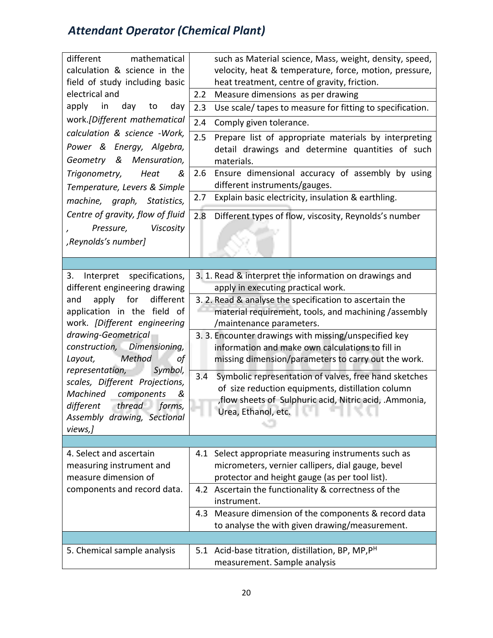| mathematical<br>different<br>calculation & science in the<br>field of study including basic<br>electrical and<br>apply<br>day<br>day<br>in<br>to<br>work.[Different mathematical<br>calculation & science -Work,<br>Power & Energy, Algebra,<br>& Mensuration,<br>Geometry<br>Trigonometry,<br>Heat<br>&<br>Temperature, Levers & Simple<br>machine, graph, Statistics,<br>Centre of gravity, flow of fluid<br>Pressure, Viscosity | such as Material science, Mass, weight, density, speed,<br>velocity, heat & temperature, force, motion, pressure,<br>heat treatment, centre of gravity, friction.<br>2.2<br>Measure dimensions as per drawing<br>2.3<br>Use scale/ tapes to measure for fitting to specification.<br>2.4<br>Comply given tolerance.<br>2.5<br>Prepare list of appropriate materials by interpreting<br>detail drawings and determine quantities of such<br>materials.<br>Ensure dimensional accuracy of assembly by using<br>2.6<br>different instruments/gauges.<br>Explain basic electricity, insulation & earthling.<br>2.7<br>2.8<br>Different types of flow, viscosity, Reynolds's number |
|------------------------------------------------------------------------------------------------------------------------------------------------------------------------------------------------------------------------------------------------------------------------------------------------------------------------------------------------------------------------------------------------------------------------------------|--------------------------------------------------------------------------------------------------------------------------------------------------------------------------------------------------------------------------------------------------------------------------------------------------------------------------------------------------------------------------------------------------------------------------------------------------------------------------------------------------------------------------------------------------------------------------------------------------------------------------------------------------------------------------------|
| ,Reynolds's number]                                                                                                                                                                                                                                                                                                                                                                                                                |                                                                                                                                                                                                                                                                                                                                                                                                                                                                                                                                                                                                                                                                                |
|                                                                                                                                                                                                                                                                                                                                                                                                                                    |                                                                                                                                                                                                                                                                                                                                                                                                                                                                                                                                                                                                                                                                                |
| Interpret specifications,<br>3.<br>different engineering drawing<br>different<br>apply<br>for<br>and<br>application in the field of                                                                                                                                                                                                                                                                                                | 3. 1. Read & interpret the information on drawings and<br>apply in executing practical work.<br>3. 2. Read & analyse the specification to ascertain the<br>material requirement, tools, and machining /assembly                                                                                                                                                                                                                                                                                                                                                                                                                                                                |
| work. [Different engineering<br>drawing-Geometrical<br>construction, Dimensioning,<br>Method<br>Layout,<br>οf                                                                                                                                                                                                                                                                                                                      | /maintenance parameters.<br>3. 3. Encounter drawings with missing/unspecified key<br>information and make own calculations to fill in<br>missing dimension/parameters to carry out the work.                                                                                                                                                                                                                                                                                                                                                                                                                                                                                   |
| representation,<br>Symbol,<br>scales, Different Projections,<br>Machined<br>components<br>&<br>thread forms,<br>different<br>Assembly drawing, Sectional<br>views,]                                                                                                                                                                                                                                                                | 3.4<br>Symbolic representation of valves, free hand sketches<br>of size reduction equipments, distillation column<br>, flow sheets of Sulphuric acid, Nitric acid, .Ammonia,<br>Urea, Ethanol, etc.                                                                                                                                                                                                                                                                                                                                                                                                                                                                            |
|                                                                                                                                                                                                                                                                                                                                                                                                                                    |                                                                                                                                                                                                                                                                                                                                                                                                                                                                                                                                                                                                                                                                                |
| 4. Select and ascertain<br>measuring instrument and<br>measure dimension of                                                                                                                                                                                                                                                                                                                                                        | 4.1 Select appropriate measuring instruments such as<br>micrometers, vernier callipers, dial gauge, bevel<br>protector and height gauge (as per tool list).                                                                                                                                                                                                                                                                                                                                                                                                                                                                                                                    |
| components and record data.                                                                                                                                                                                                                                                                                                                                                                                                        | 4.2 Ascertain the functionality & correctness of the<br>instrument.<br>4.3 Measure dimension of the components & record data                                                                                                                                                                                                                                                                                                                                                                                                                                                                                                                                                   |
|                                                                                                                                                                                                                                                                                                                                                                                                                                    | to analyse the with given drawing/measurement.                                                                                                                                                                                                                                                                                                                                                                                                                                                                                                                                                                                                                                 |
| 5. Chemical sample analysis                                                                                                                                                                                                                                                                                                                                                                                                        | 5.1 Acid-base titration, distillation, BP, MP, P <sup>H</sup><br>measurement. Sample analysis                                                                                                                                                                                                                                                                                                                                                                                                                                                                                                                                                                                  |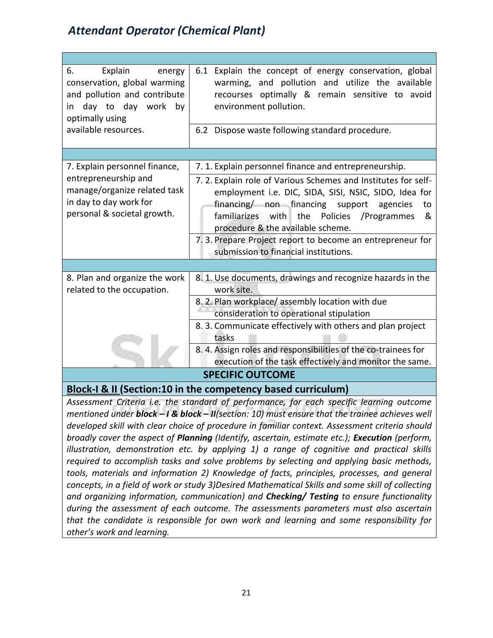| 6.<br>Explain<br>energy<br>conservation, global warming<br>and pollution and contribute<br>day to day work by<br>in.<br>optimally using<br>available resources. | 6.1 Explain the concept of energy conservation, global<br>warming, and pollution and utilize the available<br>recourses optimally & remain sensitive to avoid<br>environment pollution.<br>6.2 Dispose waste following standard procedure.                                                                                                                                      |  |  |
|-----------------------------------------------------------------------------------------------------------------------------------------------------------------|---------------------------------------------------------------------------------------------------------------------------------------------------------------------------------------------------------------------------------------------------------------------------------------------------------------------------------------------------------------------------------|--|--|
|                                                                                                                                                                 |                                                                                                                                                                                                                                                                                                                                                                                 |  |  |
| 7. Explain personnel finance,                                                                                                                                   | 7. 1. Explain personnel finance and entrepreneurship.                                                                                                                                                                                                                                                                                                                           |  |  |
| entrepreneurship and<br>manage/organize related task<br>in day to day work for<br>personal & societal growth.                                                   | 7.2. Explain role of Various Schemes and Institutes for self-<br>employment i.e. DIC, SIDA, SISI, NSIC, SIDO, Idea for<br>financing/ non financing support<br>agencies<br>to<br>familiarizes with the<br>Policies / Programmes<br>&<br>procedure & the available scheme.<br>7. 3. Prepare Project report to become an entrepreneur for<br>submission to financial institutions. |  |  |
|                                                                                                                                                                 |                                                                                                                                                                                                                                                                                                                                                                                 |  |  |
| 8. Plan and organize the work<br>related to the occupation.                                                                                                     | 8. 1. Use documents, drawings and recognize hazards in the<br>work site.                                                                                                                                                                                                                                                                                                        |  |  |
|                                                                                                                                                                 | 8. 2. Plan workplace/assembly location with due<br>consideration to operational stipulation                                                                                                                                                                                                                                                                                     |  |  |
|                                                                                                                                                                 | 8. 3. Communicate effectively with others and plan project<br>tasks                                                                                                                                                                                                                                                                                                             |  |  |
|                                                                                                                                                                 | 8. 4. Assign roles and responsibilities of the co-trainees for<br>execution of the task effectively and monitor the same.                                                                                                                                                                                                                                                       |  |  |
| <b>SPECIFIC OUTCOME</b>                                                                                                                                         |                                                                                                                                                                                                                                                                                                                                                                                 |  |  |
| $D$  aa  $\epsilon$   0    $C$ aa  $\epsilon$<br>(10.4)                                                                                                         |                                                                                                                                                                                                                                                                                                                                                                                 |  |  |

**Block-I & II (Section:10 in the competency based curriculum)**

*Assessment Criteria i.e. the standard of performance, for each specific learning outcome mentioned under block – I & block – II(section: 10) must ensure that the trainee achieves well developed skill with clear choice of procedure in familiar context. Assessment criteria should broadly cover the aspect of Planning (Identify, ascertain, estimate etc.); Execution (perform, illustration, demonstration etc. by applying 1) a range of cognitive and practical skills required to accomplish tasks and solve problems by selecting and applying basic methods, tools, materials and information 2) Knowledge of facts, principles, processes, and general concepts, in a field of work or study 3)Desired Mathematical Skills and some skill of collecting and organizing information, communication) and Checking/ Testing to ensure functionality during the assessment of each outcome. The assessments parameters must also ascertain that the candidate is responsible for own work and learning and some responsibility for other's work and learning.*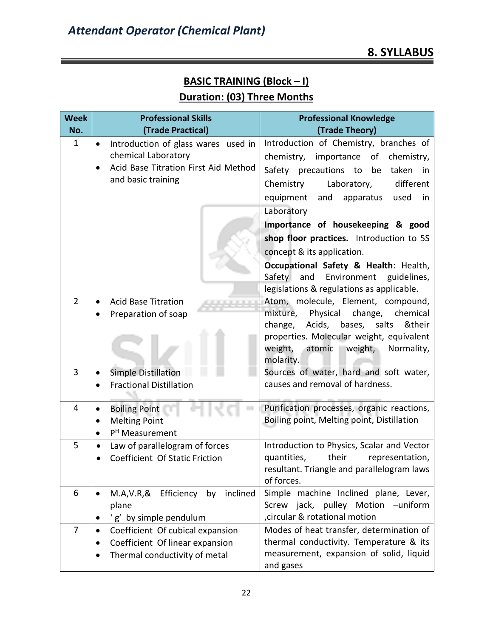# **BASIC TRAINING (Block – I) Duration: (03) Three Months**

| <b>Week</b><br>No. | <b>Professional Skills</b><br>(Trade Practical)                  | <b>Professional Knowledge</b><br>(Trade Theory)                                       |
|--------------------|------------------------------------------------------------------|---------------------------------------------------------------------------------------|
| $\mathbf{1}$       | Introduction of glass wares used in<br>$\bullet$                 | Introduction of Chemistry, branches of                                                |
|                    | chemical Laboratory                                              | chemistry, importance of<br>chemistry,                                                |
|                    | Acid Base Titration First Aid Method                             | Safety precautions to<br>taken<br>be<br>in                                            |
|                    | and basic training                                               | Chemistry<br>Laboratory,<br>different                                                 |
|                    |                                                                  | equipment<br>and<br>apparatus<br>used<br>in                                           |
|                    |                                                                  | Laboratory                                                                            |
|                    |                                                                  | Importance of housekeeping & good                                                     |
|                    |                                                                  | shop floor practices. Introduction to 5S                                              |
|                    |                                                                  | concept & its application.                                                            |
|                    |                                                                  | Occupational Safety & Health: Health,                                                 |
|                    |                                                                  | Safety<br>and<br>Environment<br>guidelines,                                           |
|                    |                                                                  | legislations & regulations as applicable.                                             |
| $\overline{2}$     | <b>Acid Base Titration</b><br>Preparation of soap                | Atom, molecule, Element, compound,<br>mixture,<br>Physical change,<br>chemical        |
|                    |                                                                  | Acids, bases,<br>salts<br>&their<br>change,                                           |
|                    |                                                                  | properties. Molecular weight, equivalent                                              |
|                    |                                                                  | weight,<br>weight,<br>Normality,<br>atomic                                            |
|                    |                                                                  | molarity.                                                                             |
| 3                  | <b>Simple Distillation</b>                                       | Sources of water, hard and soft water,                                                |
|                    | <b>Fractional Distillation</b>                                   | causes and removal of hardness.                                                       |
| 4                  | <b>Boiling Point</b><br>$\bullet$                                | Purification processes, organic reactions,                                            |
|                    | <b>Melting Point</b><br>$\bullet$                                | Boiling point, Melting point, Distillation                                            |
|                    | P <sup>H</sup> Measurement                                       |                                                                                       |
| 5                  | Law of parallelogram of forces<br>Coefficient Of Static Friction | Introduction to Physics, Scalar and Vector<br>their<br>quantities,<br>representation, |
|                    |                                                                  | resultant. Triangle and parallelogram laws                                            |
|                    |                                                                  | of forces.                                                                            |
| 6                  | by inclined<br>M.A, V.R, & Efficiency<br>$\bullet$               | Simple machine Inclined plane, Lever,                                                 |
|                    | plane                                                            | Screw jack, pulley Motion -uniform                                                    |
|                    | 'g' by simple pendulum                                           | circular & rotational motion                                                          |
| $\overline{7}$     | Coefficient Of cubical expansion<br>٠                            | Modes of heat transfer, determination of                                              |
|                    | Coefficient Of linear expansion<br>٠                             | thermal conductivity. Temperature & its                                               |
|                    | Thermal conductivity of metal                                    | measurement, expansion of solid, liquid<br>and gases                                  |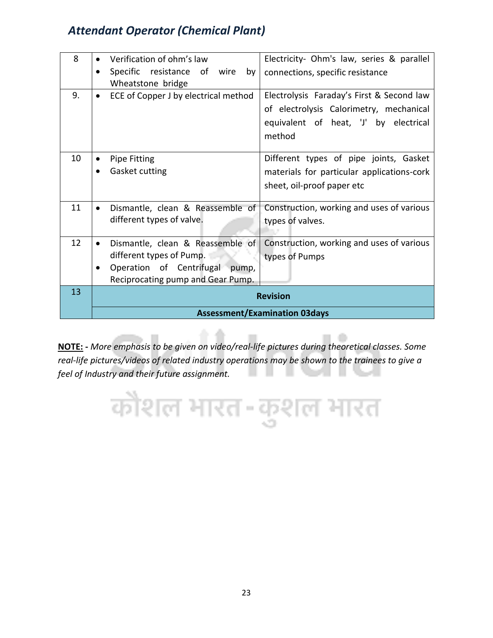| 8  |                                      | Verification of ohm's law                              | Electricity- Ohm's law, series & parallel                                                                                               |
|----|--------------------------------------|--------------------------------------------------------|-----------------------------------------------------------------------------------------------------------------------------------------|
|    | $\bullet$                            | Specific resistance of wire<br>by<br>Wheatstone bridge | connections, specific resistance                                                                                                        |
| 9. | $\bullet$                            | ECE of Copper J by electrical method                   | Electrolysis Faraday's First & Second law<br>of electrolysis Calorimetry, mechanical<br>equivalent of heat, 'J' by electrical<br>method |
| 10 |                                      | <b>Pipe Fitting</b>                                    | Different types of pipe joints, Gasket                                                                                                  |
|    |                                      | Gasket cutting                                         | materials for particular applications-cork                                                                                              |
|    |                                      |                                                        | sheet, oil-proof paper etc                                                                                                              |
| 11 |                                      | Dismantle, clean & Reassemble of                       | Construction, working and uses of various                                                                                               |
|    |                                      | different types of valve.                              | types of valves.                                                                                                                        |
| 12 |                                      | Dismantle, clean & Reassemble of                       | Construction, working and uses of various                                                                                               |
|    |                                      | different types of Pump.                               | types of Pumps                                                                                                                          |
|    |                                      | Operation of Centrifugal pump,                         |                                                                                                                                         |
|    |                                      | Reciprocating pump and Gear Pump.                      |                                                                                                                                         |
| 13 | <b>Revision</b>                      |                                                        |                                                                                                                                         |
|    | <b>Assessment/Examination 03days</b> |                                                        |                                                                                                                                         |

**NOTE: -** *More emphasis to be given on video/real-life pictures during theoretical classes. Some real-life pictures/videos of related industry operations may be shown to the trainees to give a feel of Industry and their future assignment.* 

कौशल भारत-कुशल भारत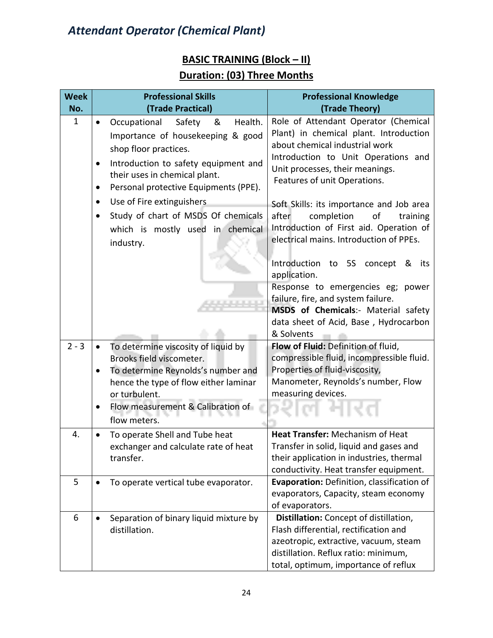# **BASIC TRAINING (Block – II)**

## **Duration: (03) Three Months**

| No.<br>(Trade Practical)<br>(Trade Theory)                                                                                |                     |
|---------------------------------------------------------------------------------------------------------------------------|---------------------|
| Role of Attendant Operator (Chemical<br>$\mathbf{1}$<br>&<br>Health.<br>Occupational<br>Safety<br>$\bullet$               |                     |
| Plant) in chemical plant. Introduction<br>Importance of housekeeping & good                                               |                     |
| about chemical industrial work<br>shop floor practices.                                                                   |                     |
| Introduction to Unit Operations and                                                                                       |                     |
| Introduction to safety equipment and<br>٠<br>Unit processes, their meanings.<br>their uses in chemical plant.             |                     |
| Features of unit Operations.<br>Personal protective Equipments (PPE).<br>٠                                                |                     |
| Use of Fire extinguishers<br>٠                                                                                            |                     |
| Soft Skills: its importance and Job area<br>Study of chart of MSDS Of chemicals<br>after<br>completion<br>оf              | training            |
| Introduction of First aid. Operation of                                                                                   |                     |
| which is mostly used in chemical<br>electrical mains. Introduction of PPEs.                                               |                     |
| industry.                                                                                                                 |                     |
| Introduction to 5S concept                                                                                                | <u>&amp;</u><br>its |
| application.                                                                                                              |                     |
| Response to emergencies eg;                                                                                               | power               |
| failure, fire, and system failure.                                                                                        |                     |
| MSDS of Chemicals:- Material safety                                                                                       |                     |
| data sheet of Acid, Base, Hydrocarbon                                                                                     |                     |
| & Solvents<br>$2 - 3$<br>Flow of Fluid: Definition of fluid,                                                              |                     |
| To determine viscosity of liquid by<br>$\bullet$<br>compressible fluid, incompressible fluid.<br>Brooks field viscometer. |                     |
| Properties of fluid-viscosity,<br>To determine Reynolds's number and                                                      |                     |
| Manometer, Reynolds's number, Flow<br>hence the type of flow either laminar                                               |                     |
| measuring devices.<br>or turbulent.                                                                                       |                     |
| Flow measurement & Calibration of                                                                                         |                     |
| flow meters.                                                                                                              |                     |
| Heat Transfer: Mechanism of Heat<br>4.<br>To operate Shell and Tube heat                                                  |                     |
| Transfer in solid, liquid and gases and<br>exchanger and calculate rate of heat                                           |                     |
| their application in industries, thermal<br>transfer.                                                                     |                     |
| conductivity. Heat transfer equipment.                                                                                    |                     |
| 5<br>Evaporation: Definition, classification of<br>To operate vertical tube evaporator.                                   |                     |
| evaporators, Capacity, steam economy                                                                                      |                     |
| of evaporators.                                                                                                           |                     |
| Distillation: Concept of distillation,<br>6<br>Separation of binary liquid mixture by                                     |                     |
| Flash differential, rectification and<br>distillation.                                                                    |                     |
| azeotropic, extractive, vacuum, steam<br>distillation. Reflux ratio: minimum,                                             |                     |
| total, optimum, importance of reflux                                                                                      |                     |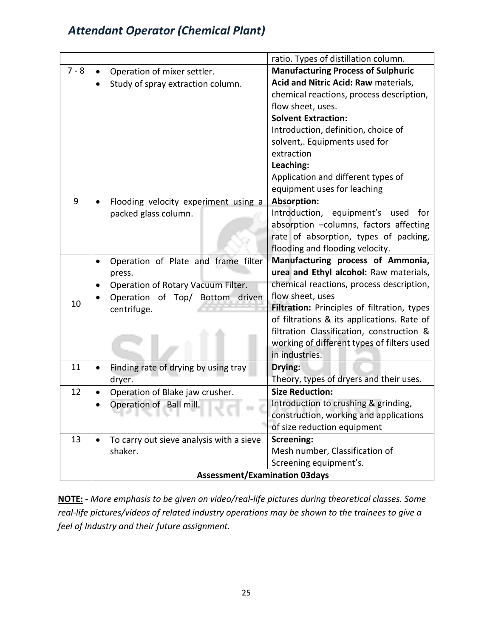|         |                                                  | ratio. Types of distillation column.        |
|---------|--------------------------------------------------|---------------------------------------------|
| $7 - 8$ | Operation of mixer settler.                      | <b>Manufacturing Process of Sulphuric</b>   |
|         | Study of spray extraction column.                | Acid and Nitric Acid: Raw materials,        |
|         |                                                  | chemical reactions, process description,    |
|         |                                                  | flow sheet, uses.                           |
|         |                                                  | <b>Solvent Extraction:</b>                  |
|         |                                                  | Introduction, definition, choice of         |
|         |                                                  | solvent,. Equipments used for               |
|         |                                                  | extraction                                  |
|         |                                                  | Leaching:                                   |
|         |                                                  | Application and different types of          |
|         |                                                  | equipment uses for leaching                 |
| 9       | Flooding velocity experiment using a             | <b>Absorption:</b>                          |
|         | packed glass column.                             | Introduction, equipment's used<br>for       |
|         |                                                  | absorption -columns, factors affecting      |
|         |                                                  | rate of absorption, types of packing,       |
|         |                                                  | flooding and flooding velocity.             |
|         | Operation of Plate and frame filter<br>$\bullet$ | Manufacturing process of Ammonia,           |
|         | press.                                           | urea and Ethyl alcohol: Raw materials,      |
|         | Operation of Rotary Vacuum Filter.               | chemical reactions, process description,    |
| 10      | Operation of Top/ Bottom driven                  | flow sheet, uses                            |
|         | centrifuge.                                      | Filtration: Principles of filtration, types |
|         |                                                  | of filtrations & its applications. Rate of  |
|         |                                                  | filtration Classification, construction &   |
|         |                                                  | working of different types of filters used  |
|         |                                                  | in industries.                              |
| 11      | Finding rate of drying by using tray             | Drying:                                     |
|         | dryer.                                           | Theory, types of dryers and their uses.     |
| 12      | Operation of Blake jaw crusher.                  | <b>Size Reduction:</b>                      |
|         | Operation of Ball mill.                          | Introduction to crushing & grinding,        |
|         | .                                                | construction, working and applications      |
|         |                                                  | of size reduction equipment                 |
| 13      | To carry out sieve analysis with a sieve         | <b>Screening:</b>                           |
|         | shaker.                                          | Mesh number, Classification of              |
|         |                                                  | Screening equipment's.                      |
|         | <b>Assessment/Examination 03days</b>             |                                             |

**NOTE: -** *More emphasis to be given on video/real-life pictures during theoretical classes. Some real-life pictures/videos of related industry operations may be shown to the trainees to give a feel of Industry and their future assignment.*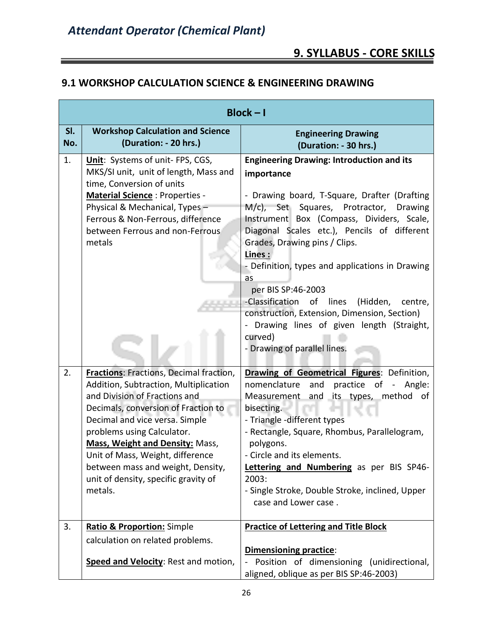#### **9.1 WORKSHOP CALCULATION SCIENCE & ENGINEERING DRAWING**

|            |                                                                                                                                                                                                                                                                                                                                                                                                       | $Block - I$                                                                                                                                                                                                                                                                                                                                                                                                                                                                                                                                                                          |
|------------|-------------------------------------------------------------------------------------------------------------------------------------------------------------------------------------------------------------------------------------------------------------------------------------------------------------------------------------------------------------------------------------------------------|--------------------------------------------------------------------------------------------------------------------------------------------------------------------------------------------------------------------------------------------------------------------------------------------------------------------------------------------------------------------------------------------------------------------------------------------------------------------------------------------------------------------------------------------------------------------------------------|
| SI.<br>No. | <b>Workshop Calculation and Science</b><br>(Duration: - 20 hrs.)                                                                                                                                                                                                                                                                                                                                      | <b>Engineering Drawing</b><br>(Duration: - 30 hrs.)                                                                                                                                                                                                                                                                                                                                                                                                                                                                                                                                  |
| 1.         | Unit: Systems of unit- FPS, CGS,<br>MKS/SI unit, unit of length, Mass and<br>time, Conversion of units<br><b>Material Science: Properties -</b><br>Physical & Mechanical, Types-<br>Ferrous & Non-Ferrous, difference<br>between Ferrous and non-Ferrous.<br>metals                                                                                                                                   | <b>Engineering Drawing: Introduction and its</b><br>importance<br>- Drawing board, T-Square, Drafter (Drafting<br>M/c), Set Squares, Protractor,<br><b>Drawing</b><br>Instrument Box (Compass, Dividers, Scale,<br>Diagonal Scales etc.), Pencils of different<br>Grades, Drawing pins / Clips.<br>Lines:<br>- Definition, types and applications in Drawing<br>as<br>per BIS SP:46-2003<br>-Classification of lines<br>(Hidden,<br>centre,<br>construction, Extension, Dimension, Section)<br>- Drawing lines of given length (Straight,<br>curved)<br>- Drawing of parallel lines. |
| 2.         | <b>Fractions: Fractions, Decimal fraction,</b><br>Addition, Subtraction, Multiplication<br>and Division of Fractions and<br>Decimals, conversion of Fraction to<br>Decimal and vice versa. Simple<br>problems using Calculator.<br><b>Mass, Weight and Density: Mass,</b><br>Unit of Mass, Weight, difference<br>between mass and weight, Density,<br>unit of density, specific gravity of<br>metals. | Drawing of Geometrical Figures: Definition,<br>practice of -<br>nomenclature<br>and<br>Angle:<br>and its types, method of<br>Measurement<br>bisecting.<br>- Triangle -different types<br>- Rectangle, Square, Rhombus, Parallelogram,<br>polygons.<br>- Circle and its elements.<br>Lettering and Numbering as per BIS SP46-<br>2003:<br>- Single Stroke, Double Stroke, inclined, Upper<br>case and Lower case.                                                                                                                                                                     |
| 3.         | <b>Ratio &amp; Proportion:</b> Simple<br>calculation on related problems.<br>Speed and Velocity: Rest and motion,                                                                                                                                                                                                                                                                                     | <b>Practice of Lettering and Title Block</b><br><b>Dimensioning practice:</b><br>Position of dimensioning (unidirectional,<br>aligned, oblique as per BIS SP:46-2003)                                                                                                                                                                                                                                                                                                                                                                                                                |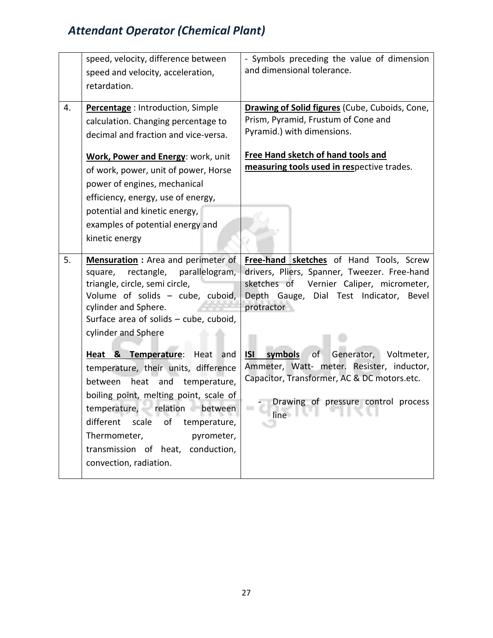|    | speed, velocity, difference between<br>speed and velocity, acceleration,<br>retardation.                                                                                                                                                                                                        | - Symbols preceding the value of dimension<br>and dimensional tolerance.                                                                                                                                                                            |
|----|-------------------------------------------------------------------------------------------------------------------------------------------------------------------------------------------------------------------------------------------------------------------------------------------------|-----------------------------------------------------------------------------------------------------------------------------------------------------------------------------------------------------------------------------------------------------|
| 4. | Percentage: Introduction, Simple<br>calculation. Changing percentage to<br>decimal and fraction and vice-versa.<br>Work, Power and Energy: work, unit<br>of work, power, unit of power, Horse<br>power of engines, mechanical                                                                   | Drawing of Solid figures (Cube, Cuboids, Cone,<br>Prism, Pyramid, Frustum of Cone and<br>Pyramid.) with dimensions.<br><b>Free Hand sketch of hand tools and</b><br>measuring tools used in respective trades.                                      |
|    | efficiency, energy, use of energy,<br>potential and kinetic energy,<br>examples of potential energy and<br>kinetic energy                                                                                                                                                                       |                                                                                                                                                                                                                                                     |
| 5. | <b>Mensuration</b> : Area and perimeter of<br>rectangle,<br>parallelogram,<br>square,<br>triangle, circle, semi circle,<br>Volume of solids - cube, cuboid,<br>cylinder and Sphere.<br>Surface area of solids - cube, cuboid,<br>cylinder and Sphere<br>Heat & Temperature: Heat<br>and         | Free-hand sketches of Hand Tools, Screw<br>drivers, Pliers, Spanner, Tweezer. Free-hand<br>sketches of<br>Vernier Caliper, micrometer,<br>Depth Gauge, Dial Test Indicator,<br>Bevel<br>protractor<br>of<br>Generator, Voltmeter,<br>ISI<br>symbols |
|    | temperature, their units, difference<br>heat and temperature,<br>between<br>boiling point, melting point, scale of<br>temperature, relation<br>between<br>scale<br>different<br>οf<br>temperature,<br>Thermometer,<br>pyrometer,<br>transmission of heat, conduction,<br>convection, radiation. | Ammeter, Watt- meter. Resister, inductor,<br>Capacitor, Transformer, AC & DC motors.etc.<br>Drawing of pressure control process<br>line and the state of the state of the state of the state of the state of the state of the state of the state    |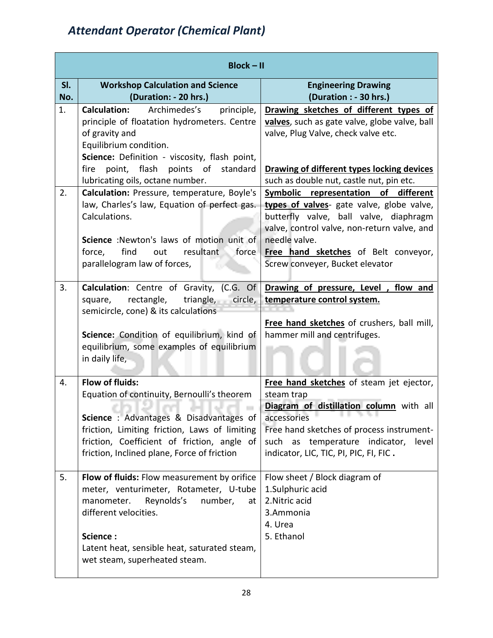|            | $Block - II$                                                                                                                                                                                                                                                                 |                                                                                                                                                                                                                                                                               |
|------------|------------------------------------------------------------------------------------------------------------------------------------------------------------------------------------------------------------------------------------------------------------------------------|-------------------------------------------------------------------------------------------------------------------------------------------------------------------------------------------------------------------------------------------------------------------------------|
| SI.<br>No. | <b>Workshop Calculation and Science</b><br>(Duration: - 20 hrs.)                                                                                                                                                                                                             | <b>Engineering Drawing</b><br>(Duration : - 30 hrs.)                                                                                                                                                                                                                          |
| 1.         | <b>Calculation:</b><br>Archimedes's<br>principle,<br>principle of floatation hydrometers. Centre<br>of gravity and<br>Equilibrium condition.<br>Science: Definition - viscosity, flash point,<br>point, flash points of standard<br>fire<br>lubricating oils, octane number. | Drawing sketches of different types of<br>valves, such as gate valve, globe valve, ball<br>valve, Plug Valve, check valve etc.<br>Drawing of different types locking devices<br>such as double nut, castle nut, pin etc.                                                      |
| 2.         | Calculation: Pressure, temperature, Boyle's<br>law, Charles's law, Equation of perfect gas.<br>Calculations.<br>Science : Newton's laws of motion unit of<br>find<br>out<br>resultant<br>force<br>force,<br>parallelogram law of forces,                                     | Symbolic representation of different<br>types of valves- gate valve, globe valve,<br>butterfly valve, ball valve, diaphragm<br>valve, control valve, non-return valve, and<br>needle valve.<br>Free hand sketches of Belt conveyor,<br>Screw conveyer, Bucket elevator        |
| 3.         | Calculation: Centre of Gravity, (C.G. Of<br>triangle, circle,<br>rectangle,<br>square,<br>semicircle, cone) & its calculations<br>Science: Condition of equilibrium, kind of<br>equilibrium, some examples of equilibrium<br>in daily life,                                  | Drawing of pressure, Level, flow and<br>temperature control system.<br>Free hand sketches of crushers, ball mill,<br>hammer mill and centrifuges.                                                                                                                             |
| 4.<br>5.   | <b>Flow of fluids:</b><br>Equation of continuity, Bernoulli's theorem<br>Science : Advantages & Disadvantages of<br>friction, Limiting friction, Laws of limiting<br>friction, Coefficient of friction, angle of<br>friction, Inclined plane, Force of friction              | Free hand sketches of steam jet ejector,<br>steam trap<br>Diagram of distillation column with all<br>accessories<br>the control of the con-<br>Free hand sketches of process instrument-<br>such as temperature indicator,<br>level<br>indicator, LIC, TIC, PI, PIC, FI, FIC. |
|            | Flow of fluids: Flow measurement by orifice<br>meter, venturimeter, Rotameter, U-tube<br>manometer.<br>Reynolds's<br>number,<br>at<br>different velocities.<br>Science:<br>Latent heat, sensible heat, saturated steam,<br>wet steam, superheated steam.                     | Flow sheet / Block diagram of<br>1.Sulphuric acid<br>2. Nitric acid<br>3.Ammonia<br>4. Urea<br>5. Ethanol                                                                                                                                                                     |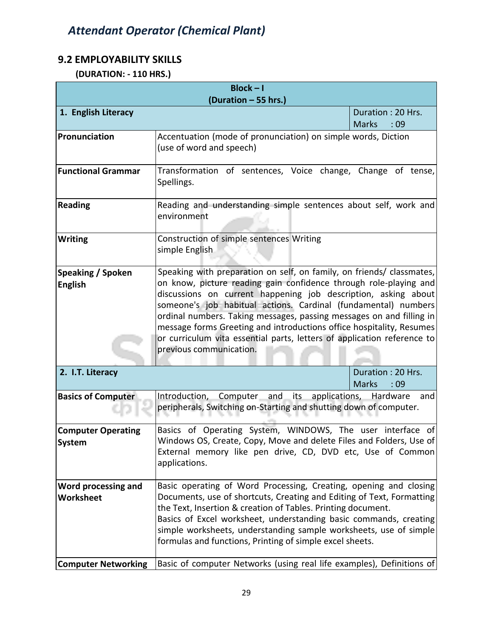#### **9.2 EMPLOYABILITY SKILLS**

 **(DURATION: - 110 HRS.)**

| $Block - I$                                                    |                                                                                                                                                                                                                                                                                                                                                                                                                                                                                                                                      |                                          |
|----------------------------------------------------------------|--------------------------------------------------------------------------------------------------------------------------------------------------------------------------------------------------------------------------------------------------------------------------------------------------------------------------------------------------------------------------------------------------------------------------------------------------------------------------------------------------------------------------------------|------------------------------------------|
| (Duration - 55 hrs.)                                           |                                                                                                                                                                                                                                                                                                                                                                                                                                                                                                                                      |                                          |
| 1. English Literacy                                            |                                                                                                                                                                                                                                                                                                                                                                                                                                                                                                                                      | Duration: 20 Hrs.<br><b>Marks</b><br>:09 |
| Pronunciation                                                  | Accentuation (mode of pronunciation) on simple words, Diction<br>(use of word and speech)                                                                                                                                                                                                                                                                                                                                                                                                                                            |                                          |
| <b>Functional Grammar</b>                                      | Transformation of sentences, Voice change, Change of tense,<br>Spellings.                                                                                                                                                                                                                                                                                                                                                                                                                                                            |                                          |
| <b>Reading</b>                                                 | Reading and understanding simple sentences about self, work and<br>environment                                                                                                                                                                                                                                                                                                                                                                                                                                                       |                                          |
| <b>Writing</b>                                                 | Construction of simple sentences Writing<br>simple English                                                                                                                                                                                                                                                                                                                                                                                                                                                                           |                                          |
| Speaking / Spoken<br><b>English</b>                            | Speaking with preparation on self, on family, on friends/ classmates,<br>on know, picture reading gain confidence through role-playing and<br>discussions on current happening job description, asking about<br>someone's job habitual actions. Cardinal (fundamental) numbers<br>ordinal numbers. Taking messages, passing messages on and filling in<br>message forms Greeting and introductions office hospitality, Resumes<br>or curriculum vita essential parts, letters of application reference to<br>previous communication. |                                          |
| 2. I.T. Literacy                                               |                                                                                                                                                                                                                                                                                                                                                                                                                                                                                                                                      | Duration: 20 Hrs.<br><b>Marks</b><br>:09 |
| <b>Basics of Computer</b>                                      | Introduction, Computer and its applications,<br>peripherals, Switching on-Starting and shutting down of computer.                                                                                                                                                                                                                                                                                                                                                                                                                    | Hardware and                             |
| <b>Computer Operating</b><br>System                            | Basics of Operating System, WINDOWS, The user interface of<br>Windows OS, Create, Copy, Move and delete Files and Folders, Use of<br>External memory like pen drive, CD, DVD etc, Use of Common<br>applications.                                                                                                                                                                                                                                                                                                                     |                                          |
| Word processing and<br>Worksheet<br><b>Computer Networking</b> | Basic operating of Word Processing, Creating, opening and closing<br>Documents, use of shortcuts, Creating and Editing of Text, Formatting<br>the Text, Insertion & creation of Tables. Printing document.<br>Basics of Excel worksheet, understanding basic commands, creating<br>simple worksheets, understanding sample worksheets, use of simple<br>formulas and functions, Printing of simple excel sheets.<br>Basic of computer Networks (using real life examples), Definitions of                                            |                                          |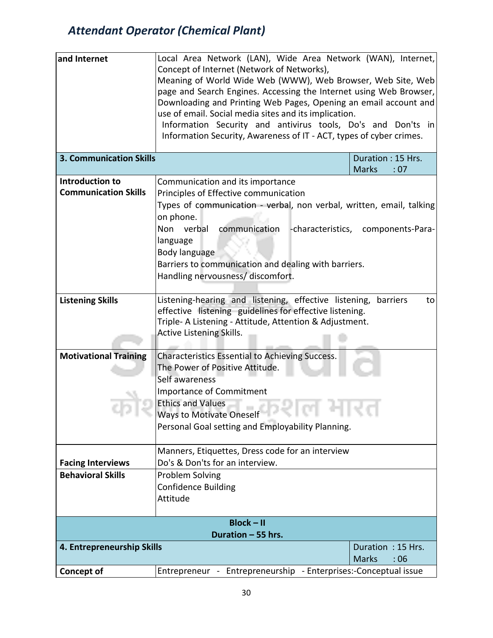| and Internet                                         | Local Area Network (LAN), Wide Area Network (WAN), Internet,                                                                                                                                                                         |                   |                                   |
|------------------------------------------------------|--------------------------------------------------------------------------------------------------------------------------------------------------------------------------------------------------------------------------------------|-------------------|-----------------------------------|
|                                                      | Concept of Internet (Network of Networks),                                                                                                                                                                                           |                   |                                   |
|                                                      | Meaning of World Wide Web (WWW), Web Browser, Web Site, Web                                                                                                                                                                          |                   |                                   |
|                                                      | page and Search Engines. Accessing the Internet using Web Browser,                                                                                                                                                                   |                   |                                   |
|                                                      | Downloading and Printing Web Pages, Opening an email account and                                                                                                                                                                     |                   |                                   |
|                                                      | use of email. Social media sites and its implication.                                                                                                                                                                                |                   |                                   |
|                                                      | Information Security and antivirus tools, Do's and Don'ts in                                                                                                                                                                         |                   |                                   |
|                                                      | Information Security, Awareness of IT - ACT, types of cyber crimes.                                                                                                                                                                  |                   |                                   |
|                                                      |                                                                                                                                                                                                                                      |                   |                                   |
| <b>3. Communication Skills</b>                       |                                                                                                                                                                                                                                      |                   | Duration: 15 Hrs.<br><b>Marks</b> |
| Introduction to                                      |                                                                                                                                                                                                                                      |                   | :07                               |
| <b>Communication Skills</b>                          | Communication and its importance                                                                                                                                                                                                     |                   |                                   |
|                                                      | Principles of Effective communication                                                                                                                                                                                                |                   |                                   |
|                                                      | Types of communication - verbal, non verbal, written, email, talking                                                                                                                                                                 |                   |                                   |
|                                                      | on phone.                                                                                                                                                                                                                            |                   |                                   |
|                                                      | communication<br>Non verbal                                                                                                                                                                                                          | -characteristics, | components-Para-                  |
|                                                      | language                                                                                                                                                                                                                             |                   |                                   |
|                                                      | Body language                                                                                                                                                                                                                        |                   |                                   |
|                                                      | Barriers to communication and dealing with barriers.                                                                                                                                                                                 |                   |                                   |
|                                                      | Handling nervousness/ discomfort.                                                                                                                                                                                                    |                   |                                   |
|                                                      |                                                                                                                                                                                                                                      |                   |                                   |
| <b>Listening Skills</b>                              | Listening-hearing and listening, effective listening,                                                                                                                                                                                |                   | barriers<br>to                    |
|                                                      | effective listening guidelines for effective listening.                                                                                                                                                                              |                   |                                   |
|                                                      | Triple- A Listening - Attitude, Attention & Adjustment.                                                                                                                                                                              |                   |                                   |
|                                                      | Active Listening Skills.                                                                                                                                                                                                             |                   |                                   |
|                                                      |                                                                                                                                                                                                                                      |                   |                                   |
| <b>Motivational Training</b>                         | Characteristics Essential to Achieving Success.                                                                                                                                                                                      |                   |                                   |
|                                                      | The Power of Positive Attitude.                                                                                                                                                                                                      |                   |                                   |
|                                                      | Self awareness                                                                                                                                                                                                                       |                   |                                   |
|                                                      | <b>Importance of Commitment</b>                                                                                                                                                                                                      |                   |                                   |
|                                                      | <b>Ethics and Values</b>                                                                                                                                                                                                             |                   |                                   |
|                                                      | Ways to Motivate Oneself <b>Contract Contract Contract Contract Contract Contract Contract Contract Contract Contract Contract Contract Contract Contract Contract Contract Contract Contract Contract Contract Contract Contrac</b> |                   |                                   |
|                                                      | Personal Goal setting and Employability Planning.                                                                                                                                                                                    |                   |                                   |
|                                                      | Manners, Etiquettes, Dress code for an interview                                                                                                                                                                                     |                   |                                   |
|                                                      | Do's & Don'ts for an interview.                                                                                                                                                                                                      |                   |                                   |
| <b>Facing Interviews</b><br><b>Behavioral Skills</b> |                                                                                                                                                                                                                                      |                   |                                   |
|                                                      | Problem Solving                                                                                                                                                                                                                      |                   |                                   |
|                                                      | <b>Confidence Building</b>                                                                                                                                                                                                           |                   |                                   |
|                                                      | Attitude                                                                                                                                                                                                                             |                   |                                   |
|                                                      | $Block - II$                                                                                                                                                                                                                         |                   |                                   |
|                                                      | Duration - 55 hrs.                                                                                                                                                                                                                   |                   |                                   |
|                                                      |                                                                                                                                                                                                                                      |                   |                                   |
| 4. Entrepreneurship Skills                           |                                                                                                                                                                                                                                      |                   | Duration: 15 Hrs.                 |
|                                                      |                                                                                                                                                                                                                                      |                   | <b>Marks</b><br>:06               |
| <b>Concept of</b>                                    | Entrepreneur - Entrepreneurship - Enterprises:-Conceptual issue                                                                                                                                                                      |                   |                                   |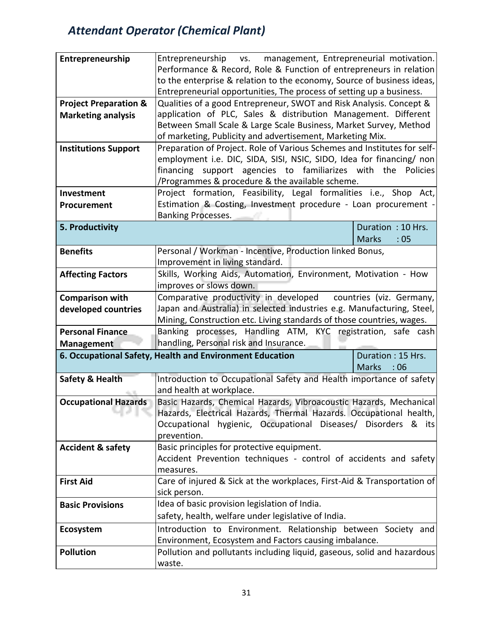| Entrepreneurship                 | Entrepreneurship<br>management, Entrepreneurial motivation.<br>VS.                   |                          |
|----------------------------------|--------------------------------------------------------------------------------------|--------------------------|
|                                  | Performance & Record, Role & Function of entrepreneurs in relation                   |                          |
|                                  | to the enterprise & relation to the economy, Source of business ideas,               |                          |
|                                  | Entrepreneurial opportunities, The process of setting up a business.                 |                          |
| <b>Project Preparation &amp;</b> | Qualities of a good Entrepreneur, SWOT and Risk Analysis. Concept &                  |                          |
| <b>Marketing analysis</b>        | application of PLC, Sales & distribution Management. Different                       |                          |
|                                  | Between Small Scale & Large Scale Business, Market Survey, Method                    |                          |
|                                  | of marketing, Publicity and advertisement, Marketing Mix.                            |                          |
| <b>Institutions Support</b>      | Preparation of Project. Role of Various Schemes and Institutes for self-             |                          |
|                                  | employment i.e. DIC, SIDA, SISI, NSIC, SIDO, Idea for financing/ non                 |                          |
|                                  | financing<br>support agencies to familiarizes with the Policies                      |                          |
|                                  | /Programmes & procedure & the available scheme.                                      |                          |
| Investment                       | Project formation, Feasibility, Legal formalities i.e., Shop Act,                    |                          |
| Procurement                      | Estimation & Costing, Investment procedure - Loan procurement -                      |                          |
|                                  | <b>Banking Processes.</b>                                                            |                          |
| 5. Productivity                  |                                                                                      | Duration: 10 Hrs.        |
|                                  |                                                                                      | <b>Marks</b><br>:05      |
| <b>Benefits</b>                  | Personal / Workman - Incentive, Production linked Bonus,                             |                          |
|                                  | Improvement in living standard.                                                      |                          |
| <b>Affecting Factors</b>         | Skills, Working Aids, Automation, Environment, Motivation - How                      |                          |
|                                  | improves or slows down.                                                              |                          |
| <b>Comparison with</b>           | Comparative productivity in developed                                                | countries (viz. Germany, |
| developed countries              | Japan and Australia) in selected industries e.g. Manufacturing, Steel,               |                          |
|                                  | Mining, Construction etc. Living standards of those countries, wages.                |                          |
| <b>Personal Finance</b>          | Banking processes, Handling ATM, KYC registration, safe cash                         |                          |
| Management                       | handling, Personal risk and Insurance.                                               |                          |
|                                  | 6. Occupational Safety, Health and Environment Education                             | Duration: 15 Hrs.        |
|                                  |                                                                                      | <b>Marks</b><br>:06      |
| Safety & Health                  | Introduction to Occupational Safety and Health importance of safety                  |                          |
|                                  | and health at workplace.                                                             |                          |
| <b>Occupational Hazards</b>      | Basic Hazards, Chemical Hazards, Vibroacoustic Hazards, Mechanical                   |                          |
|                                  | Hazards, Electrical Hazards, Thermal Hazards. Occupational health,                   |                          |
|                                  | Occupational hygienic, Occupational Diseases/ Disorders & its                        |                          |
|                                  | prevention.                                                                          |                          |
| <b>Accident &amp; safety</b>     | Basic principles for protective equipment.                                           |                          |
|                                  | Accident Prevention techniques - control of accidents and safety                     |                          |
|                                  | measures.<br>Care of injured & Sick at the workplaces, First-Aid & Transportation of |                          |
| <b>First Aid</b>                 | sick person.                                                                         |                          |
|                                  | Idea of basic provision legislation of India.                                        |                          |
| <b>Basic Provisions</b>          |                                                                                      |                          |
|                                  | safety, health, welfare under legislative of India.                                  |                          |
| Ecosystem                        | Introduction to Environment. Relationship between Society and                        |                          |
|                                  | Environment, Ecosystem and Factors causing imbalance.                                |                          |
| <b>Pollution</b>                 | Pollution and pollutants including liquid, gaseous, solid and hazardous              |                          |
|                                  | waste.                                                                               |                          |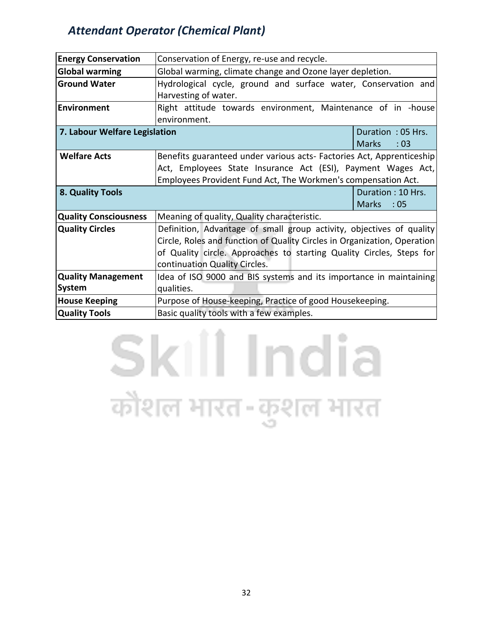| <b>Energy Conservation</b>    | Conservation of Energy, re-use and recycle.                              |                     |
|-------------------------------|--------------------------------------------------------------------------|---------------------|
| <b>Global warming</b>         | Global warming, climate change and Ozone layer depletion.                |                     |
| <b>Ground Water</b>           | Hydrological cycle, ground and surface water, Conservation and           |                     |
|                               | Harvesting of water.                                                     |                     |
| <b>Environment</b>            | Right attitude towards environment, Maintenance of in -house             |                     |
|                               | environment.                                                             |                     |
| 7. Labour Welfare Legislation |                                                                          | Duration: 05 Hrs.   |
|                               |                                                                          | <b>Marks</b><br>:03 |
| <b>Welfare Acts</b>           | Benefits guaranteed under various acts- Factories Act, Apprenticeship    |                     |
|                               | Act, Employees State Insurance Act (ESI), Payment Wages Act,             |                     |
|                               | Employees Provident Fund Act, The Workmen's compensation Act.            |                     |
| 8. Quality Tools              |                                                                          | Duration: 10 Hrs.   |
|                               |                                                                          | <b>Marks</b><br>:05 |
| <b>Quality Consciousness</b>  | Meaning of quality, Quality characteristic.                              |                     |
| <b>Quality Circles</b>        | Definition, Advantage of small group activity, objectives of quality     |                     |
|                               | Circle, Roles and function of Quality Circles in Organization, Operation |                     |
|                               | of Quality circle. Approaches to starting Quality Circles, Steps for     |                     |
|                               | continuation Quality Circles.                                            |                     |
| <b>Quality Management</b>     | Idea of ISO 9000 and BIS systems and its importance in maintaining       |                     |
| System                        | qualities.                                                               |                     |
| <b>House Keeping</b>          | Purpose of House-keeping, Practice of good Housekeeping.                 |                     |
| <b>Quality Tools</b>          | Basic quality tools with a few examples.                                 |                     |

# Skill India कौशल भारत-कुशल भारत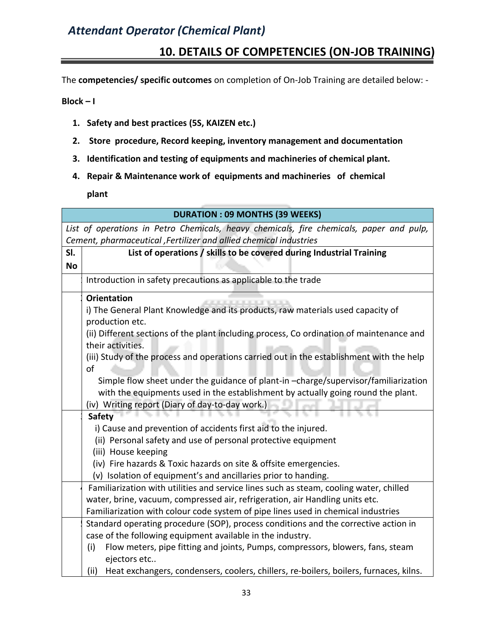# **10. DETAILS OF COMPETENCIES (ON-JOB TRAINING)**

The **competencies/ specific outcomes** on completion of On-Job Training are detailed below: -

**Block – I** 

- **1. Safety and best practices (5S, KAIZEN etc.)**
- **2. Store procedure, Record keeping, inventory management and documentation**
- **3. Identification and testing of equipments and machineries of chemical plant.**
- **4. Repair & Maintenance work of equipments and machineries of chemical**

**plant**

|           | <b>DURATION : 09 MONTHS (39 WEEKS)</b>                                                        |
|-----------|-----------------------------------------------------------------------------------------------|
|           | List of operations in Petro Chemicals, heavy chemicals, fire chemicals, paper and pulp,       |
|           | Cement, pharmaceutical , Fertilizer and allied chemical industries                            |
| SI.       | List of operations / skills to be covered during Industrial Training                          |
| <b>No</b> |                                                                                               |
|           | Introduction in safety precautions as applicable to the trade                                 |
|           | <b>Orientation</b>                                                                            |
|           | i) The General Plant Knowledge and its products, raw materials used capacity of               |
|           | production etc.                                                                               |
|           | (ii) Different sections of the plant including process, Co ordination of maintenance and      |
|           | their activities.                                                                             |
|           | (iii) Study of the process and operations carried out in the establishment with the help      |
|           | of                                                                                            |
|           | Simple flow sheet under the guidance of plant-in-charge/supervisor/familiarization            |
|           | with the equipments used in the establishment by actually going round the plant.              |
|           | (iv) Writing report (Diary of day-to-day work.)                                               |
|           | <b>Safety</b>                                                                                 |
|           | i) Cause and prevention of accidents first aid to the injured.                                |
|           | (ii) Personal safety and use of personal protective equipment                                 |
|           | (iii) House keeping                                                                           |
|           | (iv) Fire hazards & Toxic hazards on site & offsite emergencies.                              |
|           | (v) Isolation of equipment's and ancillaries prior to handing.                                |
|           | Familiarization with utilities and service lines such as steam, cooling water, chilled        |
|           | water, brine, vacuum, compressed air, refrigeration, air Handling units etc.                  |
|           | Familiarization with colour code system of pipe lines used in chemical industries             |
|           | Standard operating procedure (SOP), process conditions and the corrective action in           |
|           | case of the following equipment available in the industry.                                    |
|           | Flow meters, pipe fitting and joints, Pumps, compressors, blowers, fans, steam<br>(i)         |
|           | ejectors etc                                                                                  |
|           | Heat exchangers, condensers, coolers, chillers, re-boilers, boilers, furnaces, kilns.<br>(ii) |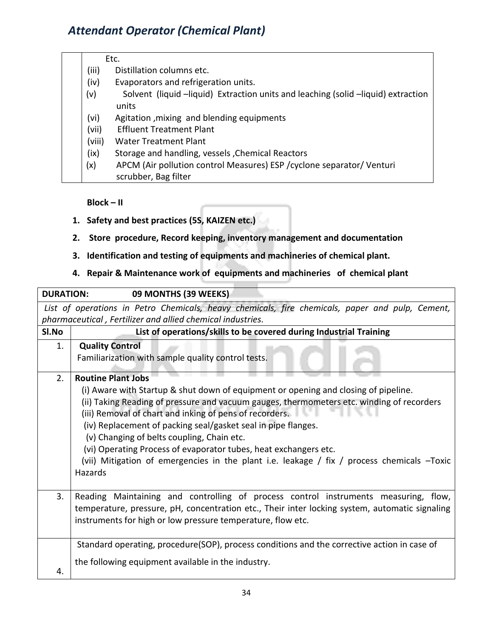#### Etc.

- (iii) Distillation columns etc.
- (iv) Evaporators and refrigeration units.
- (v) Solvent (liquid –liquid) Extraction units and leaching (solid –liquid) extraction units
- (vi) Agitation ,mixing and blending equipments
- (vii) Effluent Treatment Plant
- (viii) Water Treatment Plant
- (ix) Storage and handling, vessels ,Chemical Reactors
- (x) APCM (Air pollution control Measures) ESP /cyclone separator/ Venturi scrubber, Bag filter

**Block – II** 

- **1. Safety and best practices (5S, KAIZEN etc.)**
- **2. Store procedure, Record keeping, inventory management and documentation**
- **3. Identification and testing of equipments and machineries of chemical plant.**

#### **4. Repair & Maintenance work of equipments and machineries of chemical plant**

| <b>DURATION:</b> | 09 MONTHS (39 WEEKS)                                                                            |  |  |  |
|------------------|-------------------------------------------------------------------------------------------------|--|--|--|
|                  | List of operations in Petro Chemicals, heavy chemicals, fire chemicals, paper and pulp, Cement, |  |  |  |
|                  | pharmaceutical, Fertilizer and allied chemical industries.                                      |  |  |  |
| SI.No            | List of operations/skills to be covered during Industrial Training                              |  |  |  |
| 1.               | <b>Quality Control</b>                                                                          |  |  |  |
|                  | Familiarization with sample quality control tests.                                              |  |  |  |
| 2.               | <b>Routine Plant Jobs</b>                                                                       |  |  |  |
|                  | (i) Aware with Startup & shut down of equipment or opening and closing of pipeline.             |  |  |  |
|                  | (ii) Taking Reading of pressure and vacuum gauges, thermometers etc. winding of recorders       |  |  |  |
|                  | (iii) Removal of chart and inking of pens of recorders.                                         |  |  |  |
|                  | (iv) Replacement of packing seal/gasket seal in pipe flanges.                                   |  |  |  |
|                  | (v) Changing of belts coupling, Chain etc.                                                      |  |  |  |
|                  | (vi) Operating Process of evaporator tubes, heat exchangers etc.                                |  |  |  |
|                  | (vii) Mitigation of emergencies in the plant i.e. leakage / fix / process chemicals -Toxic      |  |  |  |
|                  | Hazards                                                                                         |  |  |  |
|                  |                                                                                                 |  |  |  |
| 3.               | Reading Maintaining and controlling of process control instruments measuring, flow,             |  |  |  |
|                  | temperature, pressure, pH, concentration etc., Their inter locking system, automatic signaling  |  |  |  |
|                  | instruments for high or low pressure temperature, flow etc.                                     |  |  |  |
|                  |                                                                                                 |  |  |  |
|                  | Standard operating, procedure(SOP), process conditions and the corrective action in case of     |  |  |  |
|                  | the following equipment available in the industry.                                              |  |  |  |
| 4.               |                                                                                                 |  |  |  |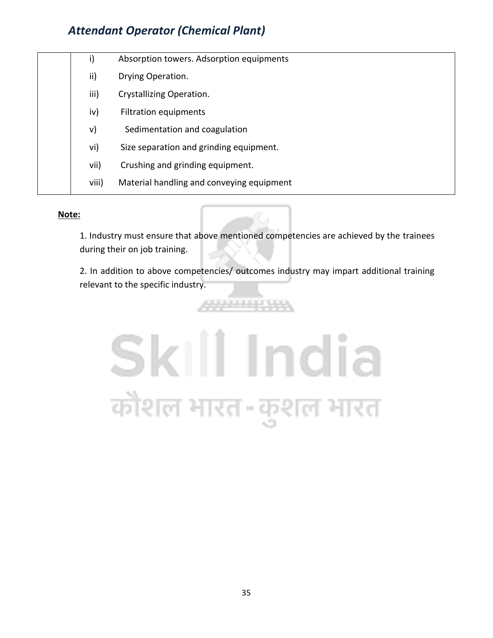|  | i)    | Absorption towers. Adsorption equipments  |
|--|-------|-------------------------------------------|
|  | ii)   | Drying Operation.                         |
|  | iii)  | Crystallizing Operation.                  |
|  | iv)   | Filtration equipments                     |
|  | V)    | Sedimentation and coagulation             |
|  | vi)   | Size separation and grinding equipment.   |
|  | vii)  | Crushing and grinding equipment.          |
|  | viii) | Material handling and conveying equipment |
|  |       |                                           |

#### **Note:**

1. Industry must ensure that above mentioned competencies are achieved by the trainees during their on job training.

2. In addition to above competencies/ outcomes industry may impart additional training relevant to the specific industry.



4444444444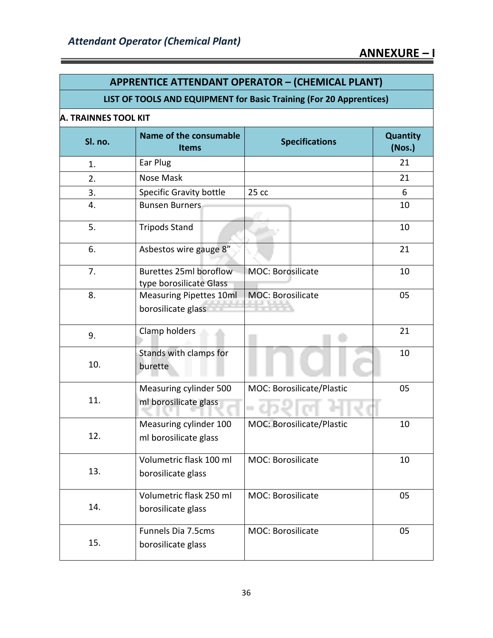| <b>APPRENTICE ATTENDANT OPERATOR - (CHEMICAL PLANT)</b> |                                                                     |                           |                           |  |
|---------------------------------------------------------|---------------------------------------------------------------------|---------------------------|---------------------------|--|
|                                                         | LIST OF TOOLS AND EQUIPMENT for Basic Training (For 20 Apprentices) |                           |                           |  |
| <b>A. TRAINNES TOOL KIT</b>                             |                                                                     |                           |                           |  |
| Sl. no.                                                 | Name of the consumable<br><b>Items</b>                              | <b>Specifications</b>     | <b>Quantity</b><br>(Nos.) |  |
| 1.                                                      | Ear Plug                                                            |                           | 21                        |  |
| 2.                                                      | Nose Mask                                                           |                           | 21                        |  |
| 3.                                                      | <b>Specific Gravity bottle</b>                                      | 25cc                      | 6                         |  |
| 4.                                                      | <b>Bunsen Burners</b>                                               |                           | 10                        |  |
| 5.                                                      | <b>Tripods Stand</b>                                                |                           | 10                        |  |
| 6.                                                      | Asbestos wire gauge 8"                                              |                           | 21                        |  |
| 7.                                                      | Burettes 25ml boroflow<br>type borosilicate Glass                   | <b>MOC: Borosilicate</b>  | 10                        |  |
| 8.                                                      | <b>Measuring Pipettes 10ml</b><br>borosilicate glass                | <b>MOC: Borosilicate</b>  | 05                        |  |
| 9.                                                      | Clamp holders                                                       |                           | 21                        |  |
| 10.                                                     | Stands with clamps for<br>burette                                   |                           | 10                        |  |
| 11.                                                     | Measuring cylinder 500<br>ml borosilicate glass                     | MOC: Borosilicate/Plastic | 05                        |  |
| 12.                                                     | Measuring cylinder 100<br>ml borosilicate glass                     | MOC: Borosilicate/Plastic | 10                        |  |
| 13.                                                     | Volumetric flask 100 ml<br>borosilicate glass                       | <b>MOC: Borosilicate</b>  | 10                        |  |
| 14.                                                     | Volumetric flask 250 ml<br>borosilicate glass                       | <b>MOC: Borosilicate</b>  | 05                        |  |
| 15.                                                     | Funnels Dia 7.5cms<br>borosilicate glass                            | <b>MOC: Borosilicate</b>  | 05                        |  |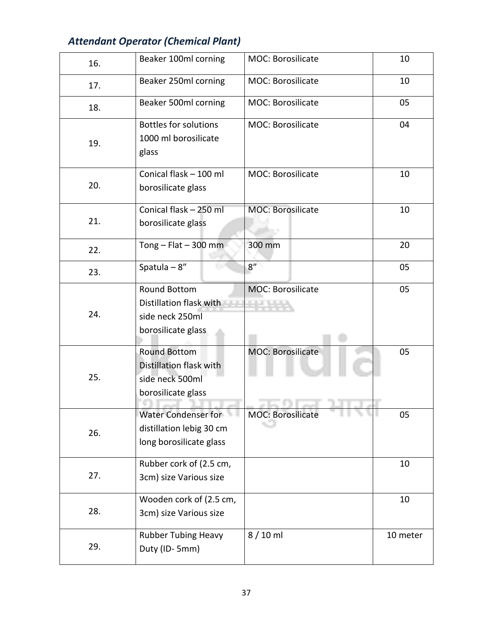| 16. | Beaker 100ml corning                                                                    | MOC: Borosilicate        | 10       |
|-----|-----------------------------------------------------------------------------------------|--------------------------|----------|
| 17. | Beaker 250ml corning                                                                    | <b>MOC: Borosilicate</b> | 10       |
| 18. | Beaker 500ml corning                                                                    | <b>MOC: Borosilicate</b> | 05       |
| 19. | <b>Bottles for solutions</b><br>1000 ml borosilicate<br>glass                           | <b>MOC: Borosilicate</b> | 04       |
| 20. | Conical flask - 100 ml<br>borosilicate glass                                            | <b>MOC: Borosilicate</b> | 10       |
| 21. | Conical flask - 250 ml<br>borosilicate glass                                            | <b>MOC: Borosilicate</b> | 10       |
| 22. | Tong $-$ Flat $-$ 300 mm                                                                | 300 mm                   | 20       |
| 23. | Spatula $-8$ "                                                                          | 8''                      | 05       |
| 24. | <b>Round Bottom</b><br>Distillation flask with<br>side neck 250ml<br>borosilicate glass | <b>MOC: Borosilicate</b> | 05       |
| 25. | <b>Round Bottom</b><br>Distillation flask with<br>side neck 500ml<br>borosilicate glass | MOC: Borosilicate        | 05       |
| 26. | Water Condenser for<br>distillation lebig 30 cm<br>long borosilicate glass              | <b>MOC: Borosilicate</b> | 05       |
| 27. | Rubber cork of (2.5 cm,<br>3cm) size Various size                                       |                          | 10       |
| 28. | Wooden cork of (2.5 cm,<br>3cm) size Various size                                       |                          | 10       |
| 29. | <b>Rubber Tubing Heavy</b><br>Duty (ID-5mm)                                             | $8/10$ ml                | 10 meter |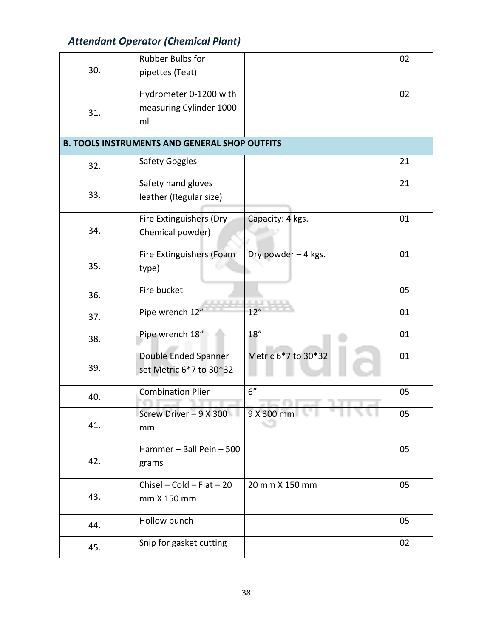|     | <b>Rubber Bulbs for</b>                              |                     | 02 |
|-----|------------------------------------------------------|---------------------|----|
| 30. | pipettes (Teat)                                      |                     |    |
|     | Hydrometer 0-1200 with                               |                     | 02 |
| 31. | measuring Cylinder 1000                              |                     |    |
|     | ml                                                   |                     |    |
|     | <b>B. TOOLS INSTRUMENTS AND GENERAL SHOP OUTFITS</b> |                     |    |
| 32. | <b>Safety Goggles</b>                                |                     | 21 |
|     | Safety hand gloves                                   |                     | 21 |
| 33. | leather (Regular size)                               |                     |    |
|     | Fire Extinguishers (Dry                              | Capacity: 4 kgs.    | 01 |
| 34. | Chemical powder)                                     |                     |    |
|     | Fire Extinguishers (Foam                             | Dry powder - 4 kgs. | 01 |
| 35. | type)                                                |                     |    |
| 36. | Fire bucket                                          |                     | 05 |
| 37. | Pipe wrench 12"                                      | 12"                 | 01 |
| 38. | Pipe wrench 18"                                      | 18''                | 01 |
|     | Double Ended Spanner                                 | Metric 6*7 to 30*32 | 01 |
| 39. | set Metric 6*7 to 30*32                              |                     |    |
| 40. | <b>Combination Plier</b>                             | 6"                  | 05 |
|     | Screw Driver $-9$ X 300                              | 9 X 300 mm          | 05 |
| 41. | mm                                                   |                     |    |
|     | Hammer - Ball Pein - 500                             |                     | 05 |
| 42. | grams                                                |                     |    |
|     | $Chisel - Cold - Flat - 20$                          | 20 mm X 150 mm      | 05 |
| 43. | mm X 150 mm                                          |                     |    |
| 44. | Hollow punch                                         |                     | 05 |
| 45. | Snip for gasket cutting                              |                     | 02 |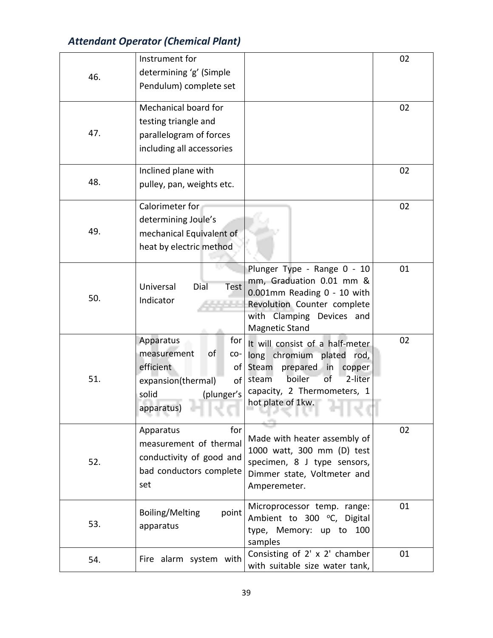|     | Instrument for                             |                                                          | 02 |
|-----|--------------------------------------------|----------------------------------------------------------|----|
| 46. | determining 'g' (Simple                    |                                                          |    |
|     | Pendulum) complete set                     |                                                          |    |
|     |                                            |                                                          |    |
|     | Mechanical board for                       |                                                          | 02 |
| 47. | testing triangle and                       |                                                          |    |
|     | parallelogram of forces                    |                                                          |    |
|     | including all accessories                  |                                                          |    |
|     | Inclined plane with                        |                                                          | 02 |
| 48. | pulley, pan, weights etc.                  |                                                          |    |
|     | Calorimeter for                            |                                                          | 02 |
|     | determining Joule's                        |                                                          |    |
| 49. | mechanical Equivalent of                   |                                                          |    |
|     | heat by electric method                    |                                                          |    |
|     |                                            |                                                          |    |
|     |                                            | Plunger Type - Range 0 - 10                              | 01 |
|     | Universal<br>Dial<br><b>Test</b>           | mm, Graduation 0.01 mm &                                 |    |
| 50. | Indicator                                  | 0.001mm Reading 0 - 10 with                              |    |
|     |                                            | Revolution Counter complete<br>with Clamping Devices and |    |
|     |                                            | <b>Magnetic Stand</b>                                    |    |
|     | Apparatus<br>for                           | It will consist of a half-meter                          | 02 |
|     | measurement<br>οf<br>CO-                   | long chromium plated rod,                                |    |
|     | efficient<br>of <sub>l</sub>               | Steam<br>prepared in<br>copper                           |    |
| 51. | of<br>expansion(thermal)                   | 2-liter<br>boiler<br>of<br>steam                         |    |
|     | (plunger's<br>solid                        | capacity, 2 Thermometers, 1                              |    |
|     | apparatus)                                 | hot plate of 1kw.                                        |    |
|     |                                            |                                                          |    |
|     | for<br>Apparatus<br>measurement of thermal | Made with heater assembly of                             | 02 |
|     |                                            | 1000 watt, 300 mm (D) test                               |    |
| 52. | conductivity of good and                   | specimen, 8 J type sensors,                              |    |
|     | bad conductors complete                    | Dimmer state, Voltmeter and                              |    |
|     | set                                        | Amperemeter.                                             |    |
|     | Boiling/Melting<br>point                   | Microprocessor temp. range:                              | 01 |
| 53. | apparatus                                  | Ambient to 300 °C, Digital                               |    |
|     |                                            | type, Memory: up to 100                                  |    |
|     |                                            | samples<br>Consisting of 2' x 2' chamber                 | 01 |
| 54. | Fire alarm system with                     | with suitable size water tank,                           |    |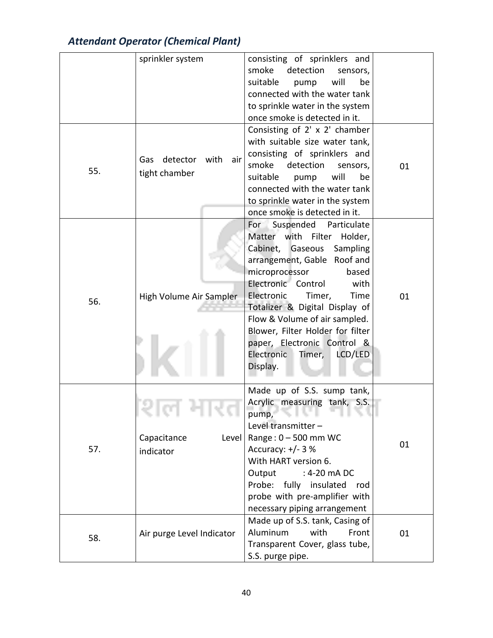|     | sprinkler system          | consisting of sprinklers and          |    |
|-----|---------------------------|---------------------------------------|----|
|     |                           | smoke<br>detection<br>sensors,        |    |
|     |                           | will<br>suitable<br>be<br>pump        |    |
|     |                           | connected with the water tank         |    |
|     |                           | to sprinkle water in the system       |    |
|     |                           | once smoke is detected in it.         |    |
|     |                           | Consisting of 2' x 2' chamber         |    |
|     |                           | with suitable size water tank,        |    |
|     |                           |                                       |    |
|     | Gas detector with air     | consisting of sprinklers and<br>smoke |    |
| 55. | tight chamber             | detection<br>sensors,                 | 01 |
|     |                           | will<br>suitable<br>be<br>pump        |    |
|     |                           | connected with the water tank         |    |
|     |                           | to sprinkle water in the system       |    |
|     |                           | once smoke is detected in it.         |    |
|     |                           | For Suspended<br>Particulate          |    |
|     |                           | Matter with Filter<br>Holder,         |    |
|     |                           | Cabinet, Gaseous Sampling             |    |
|     |                           | arrangement, Gable Roof and           |    |
|     |                           | microprocessor<br>based               |    |
|     |                           | Electronic Control<br>with            |    |
| 56. | High Volume Air Sampler   | Electronic<br>Timer,<br>Time          | 01 |
|     |                           | Totalizer & Digital Display of        |    |
|     |                           | Flow & Volume of air sampled.         |    |
|     |                           | Blower, Filter Holder for filter      |    |
|     |                           | paper, Electronic Control &           |    |
|     |                           | Electronic<br>Timer,<br>LCD/LED       |    |
|     |                           | Display.                              |    |
|     |                           |                                       |    |
|     |                           | Made up of S.S. sump tank,            |    |
|     |                           | Acrylic measuring tank, S.S.          |    |
|     | <b><i>PER 19</i></b>      | pump, and the pump,                   |    |
|     |                           | Level transmitter -                   |    |
|     | Capacitance<br>Level      | Range: $0 - 500$ mm WC                | 01 |
| 57. | indicator                 | Accuracy: $+/- 3$ %                   |    |
|     |                           | With HART version 6.                  |    |
|     |                           | Output<br>: 4-20 mA DC                |    |
|     |                           | Probe: fully insulated rod            |    |
|     |                           | probe with pre-amplifier with         |    |
|     |                           | necessary piping arrangement          |    |
|     |                           | Made up of S.S. tank, Casing of       |    |
|     | Air purge Level Indicator | Aluminum<br>with<br>Front             | 01 |
| 58. |                           | Transparent Cover, glass tube,        |    |
|     |                           | S.S. purge pipe.                      |    |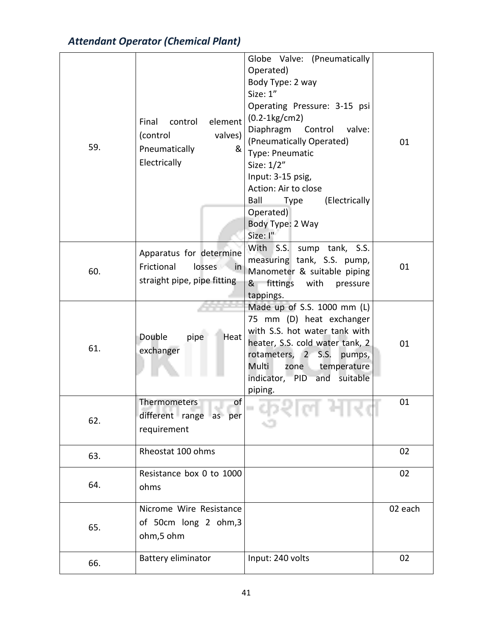| 59. | element<br>Final<br>control<br>(control<br>valves)<br>Pneumatically<br>&<br>Electrically | Globe Valve: (Pneumatically<br>Operated)<br>Body Type: 2 way<br>Size: 1"<br>Operating Pressure: 3-15 psi<br>$(0.2-1kg/cm2)$<br>Diaphragm<br>Control<br>valve:<br>(Pneumatically Operated)<br>Type: Pneumatic<br>Size: 1/2"<br>Input: 3-15 psig,<br>Action: Air to close<br>Ball<br>(Electrically<br><b>Type</b><br>Operated)<br>Body Type: 2 Way<br>Size: I" | 01      |
|-----|------------------------------------------------------------------------------------------|--------------------------------------------------------------------------------------------------------------------------------------------------------------------------------------------------------------------------------------------------------------------------------------------------------------------------------------------------------------|---------|
| 60. | Apparatus for determine<br>Frictional<br>losses in<br>straight pipe, pipe fitting        | With S.S.<br>sump tank, S.S.<br>measuring tank, S.S. pump,<br>Manometer & suitable piping<br>fittings with<br>&<br>pressure<br>tappings.                                                                                                                                                                                                                     | 01      |
| 61. | Double<br>pipe<br>Heat<br>exchanger                                                      | Made up of S.S. 1000 mm (L)<br>75 mm (D) heat exchanger<br>with S.S. hot water tank with<br>heater, S.S. cold water tank, 2<br>rotameters, 2 S.S.<br>pumps,<br>zone temperature<br>Multi<br>indicator, PID and suitable<br>piping.                                                                                                                           | 01      |
| 62. | of<br>Thermometers<br>different range as per<br>requirement                              |                                                                                                                                                                                                                                                                                                                                                              | 01      |
| 63. | Rheostat 100 ohms                                                                        |                                                                                                                                                                                                                                                                                                                                                              | 02      |
| 64. | Resistance box 0 to 1000<br>ohms                                                         |                                                                                                                                                                                                                                                                                                                                                              | 02      |
| 65. | Nicrome Wire Resistance<br>of 50cm long 2 ohm,3<br>ohm,5 ohm                             |                                                                                                                                                                                                                                                                                                                                                              | 02 each |
| 66. | <b>Battery eliminator</b>                                                                | Input: 240 volts                                                                                                                                                                                                                                                                                                                                             | 02      |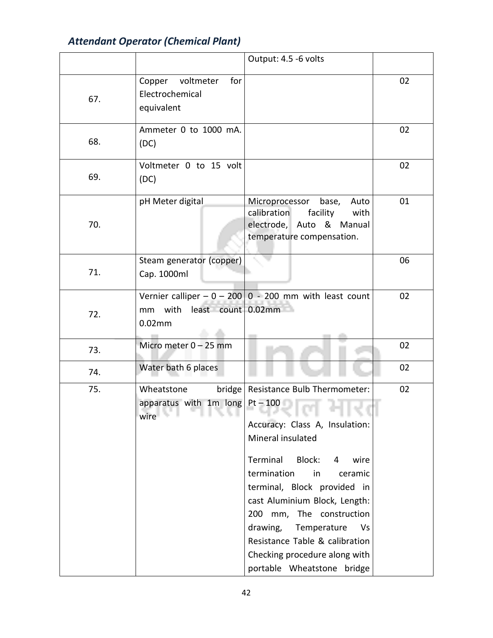|     |                                                                                                                    | Output: 4.5 -6 volts                                                                                                                                                                                                                                                                                                                                                                                                                                                             |    |
|-----|--------------------------------------------------------------------------------------------------------------------|----------------------------------------------------------------------------------------------------------------------------------------------------------------------------------------------------------------------------------------------------------------------------------------------------------------------------------------------------------------------------------------------------------------------------------------------------------------------------------|----|
| 67. | voltmeter<br>for<br>Copper<br>Electrochemical<br>equivalent                                                        |                                                                                                                                                                                                                                                                                                                                                                                                                                                                                  | 02 |
| 68. | Ammeter 0 to 1000 mA.<br>(DC)                                                                                      |                                                                                                                                                                                                                                                                                                                                                                                                                                                                                  | 02 |
| 69. | Voltmeter 0 to 15 volt<br>(DC)                                                                                     |                                                                                                                                                                                                                                                                                                                                                                                                                                                                                  | 02 |
| 70. | pH Meter digital                                                                                                   | Microprocessor base,<br>Auto<br>calibration<br>facility<br>with<br>electrode, Auto & Manual<br>temperature compensation.                                                                                                                                                                                                                                                                                                                                                         | 01 |
| 71. | Steam generator (copper)<br>Cap. 1000ml                                                                            |                                                                                                                                                                                                                                                                                                                                                                                                                                                                                  | 06 |
| 72. | mm with least count 0.02mm<br>0.02mm                                                                               | Vernier calliper $-0 - 200$ 0 - 200 mm with least count                                                                                                                                                                                                                                                                                                                                                                                                                          | 02 |
| 73. | Micro meter 0 - 25 mm                                                                                              |                                                                                                                                                                                                                                                                                                                                                                                                                                                                                  | 02 |
| 74. | Water bath 6 places                                                                                                |                                                                                                                                                                                                                                                                                                                                                                                                                                                                                  | 02 |
| 75. | Wheatstone<br>apparatus with $1m$ long Pt - 100<br>wire <b>and the state of the state of the state</b><br>The Line | bridge   Resistance Bulb Thermometer:<br>and the control<br>a ser<br><b>The Controller</b><br><b>Contract Contract Service</b><br>Accuracy: Class A, Insulation:<br>Mineral insulated<br>Terminal Block:<br>wire<br>4<br>termination<br>in<br>ceramic<br>terminal, Block provided in<br>cast Aluminium Block, Length:<br>200 mm, The construction<br>drawing, Temperature<br>Vs<br>Resistance Table & calibration<br>Checking procedure along with<br>portable Wheatstone bridge | 02 |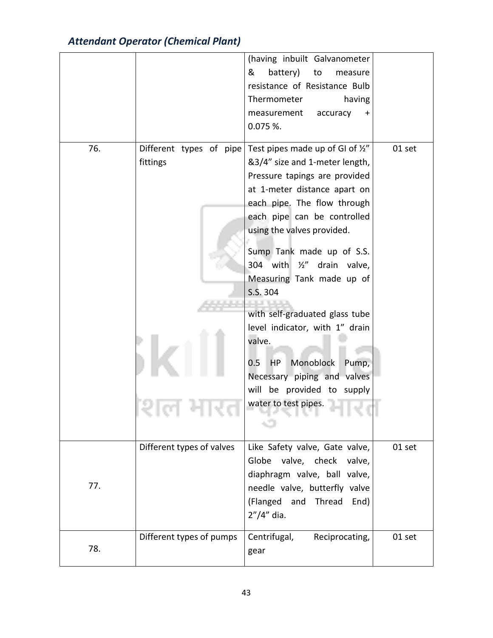|     |                           | (having inbuilt Galvanometer        |        |
|-----|---------------------------|-------------------------------------|--------|
|     |                           | battery)<br>&<br>to<br>measure      |        |
|     |                           | resistance of Resistance Bulb       |        |
|     |                           | Thermometer<br>having               |        |
|     |                           | accuracy<br>measurement             |        |
|     |                           | $0.075$ %.                          |        |
|     |                           |                                     |        |
| 76. | Different types of pipe   | Test pipes made up of GI of 1/2"    | 01 set |
|     | fittings                  | &3/4" size and 1-meter length,      |        |
|     |                           | Pressure tapings are provided       |        |
|     |                           | at 1-meter distance apart on        |        |
|     |                           | each pipe. The flow through         |        |
|     |                           | each pipe can be controlled         |        |
|     |                           | using the valves provided.          |        |
|     |                           |                                     |        |
|     |                           | Sump Tank made up of S.S.           |        |
|     |                           | 304 with $\frac{1}{2}$ drain valve, |        |
|     |                           | Measuring Tank made up of           |        |
|     |                           | S.S. 304                            |        |
|     |                           |                                     |        |
|     |                           | with self-graduated glass tube      |        |
|     |                           | level indicator, with 1" drain      |        |
|     |                           | valve.                              |        |
|     |                           | Monoblock<br>Pump,<br>$0.5\,$<br>HP |        |
|     |                           | Necessary piping and valves         |        |
|     |                           | will be provided to supply          |        |
|     |                           | water to test pipes.                |        |
|     |                           |                                     |        |
|     |                           |                                     |        |
|     | Different types of valves | Like Safety valve, Gate valve,      | 01 set |
|     |                           | Globe valve, check<br>valve,        |        |
|     |                           | diaphragm valve, ball valve,        |        |
| 77. |                           |                                     |        |
|     |                           | needle valve, butterfly valve       |        |
|     |                           | (Flanged and Thread<br>End)         |        |
|     |                           | $2''/4''$ dia.                      |        |
|     | Different types of pumps  | Centrifugal,<br>Reciprocating,      | 01 set |
| 78. |                           | gear                                |        |
|     |                           |                                     |        |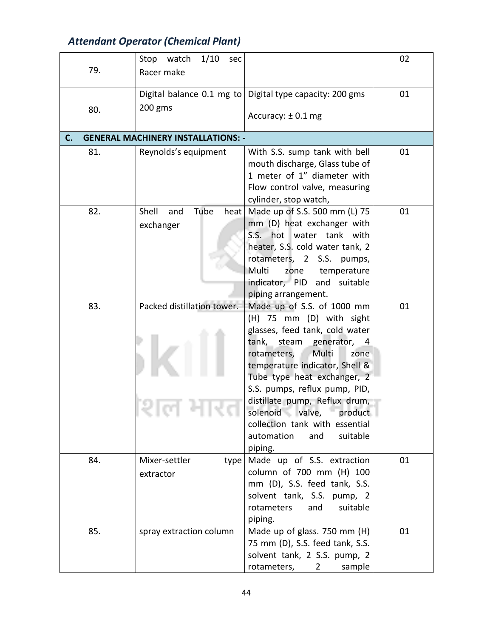| 79. | 1/10<br>Stop watch<br>sec<br>Racer make   |                                                                                                                                                                                                                                                                                                                                                                                                     | 02 |
|-----|-------------------------------------------|-----------------------------------------------------------------------------------------------------------------------------------------------------------------------------------------------------------------------------------------------------------------------------------------------------------------------------------------------------------------------------------------------------|----|
| 80. | 200 gms                                   | Digital balance 0.1 mg to   Digital type capacity: 200 gms<br>Accuracy: $\pm$ 0.1 mg                                                                                                                                                                                                                                                                                                                | 01 |
| C.  | <b>GENERAL MACHINERY INSTALLATIONS: -</b> |                                                                                                                                                                                                                                                                                                                                                                                                     |    |
| 81. | Reynolds's equipment                      | With S.S. sump tank with bell<br>mouth discharge, Glass tube of<br>1 meter of 1" diameter with<br>Flow control valve, measuring<br>cylinder, stop watch,                                                                                                                                                                                                                                            | 01 |
| 82. | Tube<br>Shell<br>and<br>heat<br>exchanger | Made up of S.S. 500 mm (L) 75<br>mm (D) heat exchanger with<br>S.S. hot water tank with<br>heater, S.S. cold water tank, 2<br>rotameters, 2<br>S.S. pumps,<br>Multi<br>zone<br>temperature<br>indicator, PID and suitable<br>piping arrangement.                                                                                                                                                    | 01 |
| 83. | Packed distillation tower.                | Made up of S.S. of 1000 mm<br>(H) 75 mm (D) with sight<br>glasses, feed tank, cold water<br>tank,<br>steam generator, 4<br>Multi<br>rotameters,<br>zone<br>temperature indicator, Shell &<br>Tube type heat exchanger, 2<br>S.S. pumps, reflux pump, PID,<br>distillate pump, Reflux drum,<br>solenoid valve, product<br>collection tank with essential<br>suitable<br>automation<br>and<br>piping. | 01 |
| 84. | Mixer-settler<br>type<br>extractor        | Made up of S.S. extraction<br>column of 700 mm (H) 100<br>mm (D), S.S. feed tank, S.S.<br>solvent tank, S.S. pump, 2<br>and<br>suitable<br>rotameters<br>piping.                                                                                                                                                                                                                                    | 01 |
| 85. | spray extraction column                   | Made up of glass. 750 mm (H)<br>75 mm (D), S.S. feed tank, S.S.<br>solvent tank, 2 S.S. pump, 2<br>rotameters,<br>$2^{\circ}$<br>sample                                                                                                                                                                                                                                                             | 01 |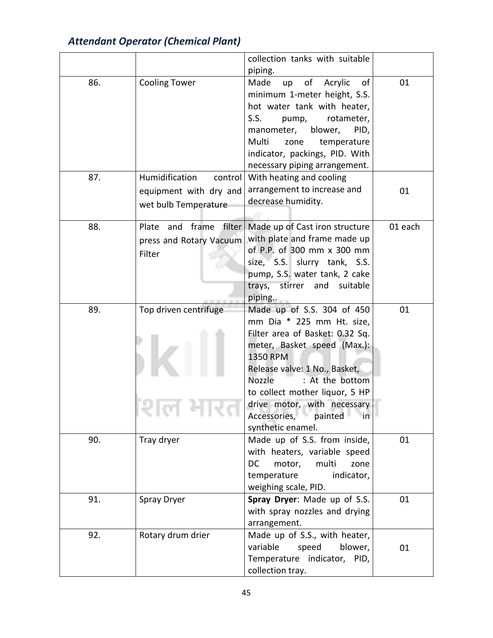|     |                           | collection tanks with suitable       |         |
|-----|---------------------------|--------------------------------------|---------|
|     |                           | piping.                              |         |
| 86. | <b>Cooling Tower</b>      | of<br>Made<br>Acrylic<br>οf<br>up    | 01      |
|     |                           | minimum 1-meter height, S.S.         |         |
|     |                           | hot water tank with heater,          |         |
|     |                           | S.S.<br>rotameter,<br>pump,          |         |
|     |                           | manometer,<br>blower,<br>PID,        |         |
|     |                           | Multi<br>temperature<br>zone         |         |
|     |                           | indicator, packings, PID. With       |         |
|     |                           | necessary piping arrangement.        |         |
| 87. | Humidification<br>control | With heating and cooling             |         |
|     | equipment with dry and    | arrangement to increase and          | 01      |
|     | wet bulb Temperature      | decrease humidity.                   |         |
|     |                           |                                      |         |
| 88. | Plate and frame<br>filter | Made up of Cast iron structure       | 01 each |
|     | press and Rotary Vacuum   | with plate and frame made up         |         |
|     | Filter                    | of P.P. of 300 mm x 300 mm           |         |
|     |                           | size, S.S. slurry tank, S.S.         |         |
|     |                           | pump, S.S. water tank, 2 cake        |         |
|     |                           | trays,<br>stirrer<br>suitable<br>and |         |
|     |                           | piping                               |         |
| 89. | Top driven centrifuge     | Made up of S.S. 304 of 450           | 01      |
|     |                           | mm Dia * 225 mm Ht. size,            |         |
|     |                           | Filter area of Basket: 0.32 Sq.      |         |
|     |                           | meter, Basket speed (Max.):          |         |
|     |                           | <b>1350 RPM</b>                      |         |
|     |                           | Release valve: 1 No., Basket,        |         |
|     |                           | : At the bottom<br><b>Nozzle</b>     |         |
|     |                           | to collect mother liquor, 5 HP       |         |
|     |                           | drive motor, with necessary          |         |
|     |                           | Accessories, painted in              |         |
|     |                           | synthetic enamel.                    |         |
| 90. | Tray dryer                | Made up of S.S. from inside,         | 01      |
|     |                           | with heaters, variable speed         |         |
|     |                           | DC<br>motor,<br>multi<br>zone        |         |
|     |                           | temperature<br>indicator,            |         |
|     |                           | weighing scale, PID.                 |         |
| 91. | Spray Dryer               | Spray Dryer: Made up of S.S.         | 01      |
|     |                           | with spray nozzles and drying        |         |
|     |                           | arrangement.                         |         |
| 92. | Rotary drum drier         | Made up of S.S., with heater,        |         |
|     |                           | variable<br>speed<br>blower,         | 01      |
|     |                           | Temperature indicator, PID,          |         |
|     |                           | collection tray.                     |         |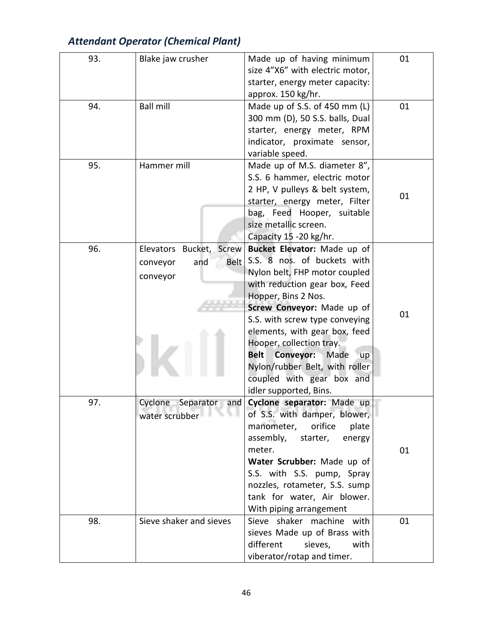| <b>Attendant Operator (Chemical Plant)</b> |  |
|--------------------------------------------|--|
|--------------------------------------------|--|

| 93. | Blake jaw crusher                               | Made up of having minimum           | 01 |
|-----|-------------------------------------------------|-------------------------------------|----|
|     |                                                 | size 4"X6" with electric motor,     |    |
|     |                                                 | starter, energy meter capacity:     |    |
|     |                                                 | approx. 150 kg/hr.                  |    |
| 94. | <b>Ball mill</b>                                | Made up of S.S. of 450 mm (L)       | 01 |
|     |                                                 | 300 mm (D), 50 S.S. balls, Dual     |    |
|     |                                                 | starter, energy meter, RPM          |    |
|     |                                                 | indicator, proximate sensor,        |    |
|     |                                                 | variable speed.                     |    |
| 95. | Hammer mill                                     | Made up of M.S. diameter 8",        |    |
|     |                                                 | S.S. 6 hammer, electric motor       |    |
|     |                                                 | 2 HP, V pulleys & belt system,      | 01 |
|     |                                                 | starter, energy meter, Filter       |    |
|     |                                                 | bag, Feed Hooper, suitable          |    |
|     |                                                 | size metallic screen.               |    |
|     |                                                 | Capacity 15 -20 kg/hr.              |    |
| 96. | Elevators Bucket, Screw                         | Bucket Elevator: Made up of         |    |
|     | <b>Belt</b><br>and<br>conveyor                  | S.S. 8 nos. of buckets with         |    |
|     | conveyor                                        | Nylon belt, FHP motor coupled       |    |
|     |                                                 | with reduction gear box, Feed       |    |
|     |                                                 | Hopper, Bins 2 Nos.                 |    |
|     |                                                 | Screw Conveyor: Made up of          | 01 |
|     |                                                 | S.S. with screw type conveying      |    |
|     |                                                 | elements, with gear box, feed       |    |
|     |                                                 | Hooper, collection tray.            |    |
|     |                                                 | <b>Conveyor: Made</b><br>Belt<br>up |    |
|     |                                                 | Nylon/rubber Belt, with roller      |    |
|     |                                                 | coupled with gear box and           |    |
|     |                                                 | idler supported, Bins.              |    |
| 97. | Separator<br>Cyclone<br>and                     | Cyclone separator: Made up          |    |
|     | water scrubber <b>The Structure of The Town</b> | of S.S. with damper, blower,        |    |
|     |                                                 | orifice<br>manometer,<br>plate      |    |
|     |                                                 | assembly,<br>starter,<br>energy     |    |
|     |                                                 | meter.                              | 01 |
|     |                                                 | Water Scrubber: Made up of          |    |
|     |                                                 | S.S. with S.S. pump, Spray          |    |
|     |                                                 | nozzles, rotameter, S.S. sump       |    |
|     |                                                 | tank for water, Air blower.         |    |
|     |                                                 | With piping arrangement             |    |
| 98. | Sieve shaker and sieves                         | Sieve shaker machine with           | 01 |
|     |                                                 | sieves Made up of Brass with        |    |
|     |                                                 | different<br>sieves,<br>with        |    |
|     |                                                 | viberator/rotap and timer.          |    |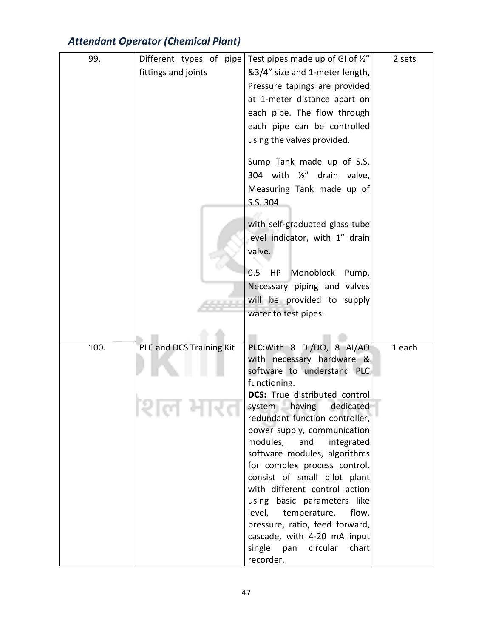| 99.  | Different types of pipe  | Test pipes made up of GI of 1/2"                                  | 2 sets |
|------|--------------------------|-------------------------------------------------------------------|--------|
|      | fittings and joints      | &3/4" size and 1-meter length,                                    |        |
|      |                          | Pressure tapings are provided                                     |        |
|      |                          | at 1-meter distance apart on                                      |        |
|      |                          | each pipe. The flow through                                       |        |
|      |                          | each pipe can be controlled                                       |        |
|      |                          | using the valves provided.                                        |        |
|      |                          | Sump Tank made up of S.S.                                         |        |
|      |                          | 304 with 1/2"<br>drain<br>valve,                                  |        |
|      |                          |                                                                   |        |
|      |                          | Measuring Tank made up of                                         |        |
|      |                          | S.S. 304                                                          |        |
|      |                          | with self-graduated glass tube                                    |        |
|      |                          | level indicator, with 1" drain                                    |        |
|      |                          | valve.                                                            |        |
|      |                          | 0.5<br>Monoblock Pump,<br>HP.                                     |        |
|      |                          | Necessary piping and valves                                       |        |
|      |                          | will be provided to supply                                        |        |
|      |                          | water to test pipes.                                              |        |
|      |                          |                                                                   |        |
|      |                          |                                                                   |        |
| 100. | PLC and DCS Training Kit | PLC: With 8 DI/DO, 8 AI/AO                                        | 1 each |
|      |                          | with necessary hardware &                                         |        |
|      |                          | software to understand PLC                                        |        |
|      |                          | functioning.                                                      |        |
|      |                          | <b>DCS:</b> True distributed control                              |        |
|      |                          | dedicated<br>system<br>having<br>redundant function controller,   |        |
|      |                          | power supply, communication                                       |        |
|      |                          | modules,<br>integrated<br>and                                     |        |
|      |                          | software modules, algorithms                                      |        |
|      |                          | for complex process control.                                      |        |
|      |                          | consist of small pilot plant                                      |        |
|      |                          | with different control action                                     |        |
|      |                          | using basic parameters like                                       |        |
|      |                          | level, temperature,<br>flow,                                      |        |
|      |                          | pressure, ratio, feed forward,                                    |        |
|      |                          | cascade, with 4-20 mA input<br>single<br>pan<br>circular<br>chart |        |
|      |                          | recorder.                                                         |        |
|      |                          |                                                                   |        |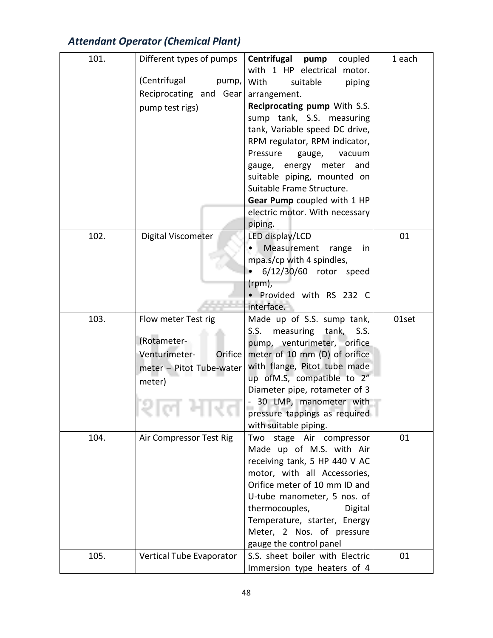| 101. | Different types of pumps | Centrifugal pump<br>coupled                               | 1 each |
|------|--------------------------|-----------------------------------------------------------|--------|
|      | (Centrifugal             | with 1 HP electrical<br>motor.                            |        |
|      | pump,                    | With<br>suitable<br>piping                                |        |
|      | Reciprocating and Gear   | arrangement.                                              |        |
|      | pump test rigs)          | Reciprocating pump With S.S.<br>sump tank, S.S. measuring |        |
|      |                          | tank, Variable speed DC drive,                            |        |
|      |                          | RPM regulator, RPM indicator,                             |        |
|      |                          | Pressure<br>gauge,<br>vacuum                              |        |
|      |                          | gauge, energy meter and                                   |        |
|      |                          | suitable piping, mounted on                               |        |
|      |                          | Suitable Frame Structure.                                 |        |
|      |                          | Gear Pump coupled with 1 HP                               |        |
|      |                          | electric motor. With necessary                            |        |
|      |                          | piping.                                                   |        |
| 102. | Digital Viscometer       | LED display/LCD                                           | 01     |
|      |                          | Measurement<br>range<br>in                                |        |
|      |                          | mpa.s/cp with 4 spindles,                                 |        |
|      |                          | 6/12/30/60 rotor speed                                    |        |
|      |                          | (rpm),                                                    |        |
|      |                          | · Provided with RS 232 C                                  |        |
|      |                          | interface.                                                |        |
| 103. | Flow meter Test rig      | Made up of S.S. sump tank,                                | 01set  |
|      |                          | measuring<br>S.S.<br>tank, S.S.                           |        |
|      | (Rotameter-              | pump, venturimeter, orifice                               |        |
|      | Venturimeter-<br>Orifice | meter of 10 mm (D) of orifice                             |        |
|      | meter - Pitot Tube-water | with flange, Pitot tube made                              |        |
|      | meter)                   | up ofM.S, compatible to 2"                                |        |
|      |                          | Diameter pipe, rotameter of 3                             |        |
|      |                          | 30 LMP, manometer with                                    |        |
|      |                          | pressure tappings as required                             |        |
|      |                          | with suitable piping.                                     |        |
| 104. | Air Compressor Test Rig  | Two stage Air compressor                                  | 01     |
|      |                          | Made up of M.S. with Air<br>receiving tank, 5 HP 440 V AC |        |
|      |                          | motor, with all Accessories,                              |        |
|      |                          | Orifice meter of 10 mm ID and                             |        |
|      |                          | U-tube manometer, 5 nos. of                               |        |
|      |                          | thermocouples,<br>Digital                                 |        |
|      |                          | Temperature, starter, Energy                              |        |
|      |                          | Meter, 2 Nos. of pressure                                 |        |
|      |                          | gauge the control panel                                   |        |
| 105. | Vertical Tube Evaporator | S.S. sheet boiler with Electric                           | 01     |
|      |                          | Immersion type heaters of 4                               |        |
|      |                          |                                                           |        |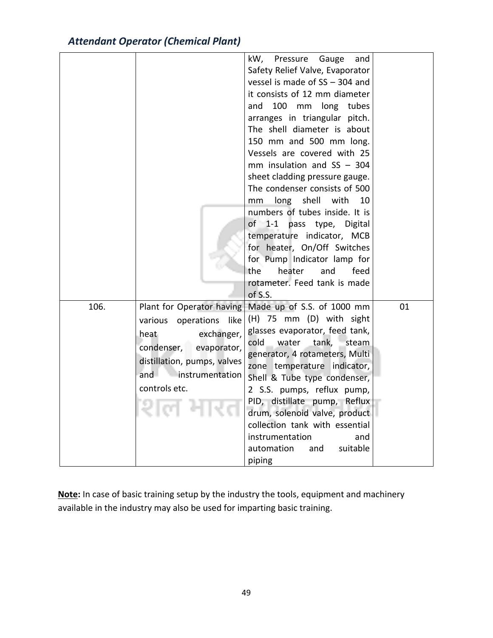| <b>Attendant Operator (Chemical Plant)</b> |  |
|--------------------------------------------|--|
|--------------------------------------------|--|

|      |                                                                                                                                                                                         | kW,<br>Pressure<br>Gauge<br>and<br>Safety Relief Valve, Evaporator<br>vessel is made of SS - 304 and<br>it consists of 12 mm diameter<br>100 mm long tubes<br>and<br>arranges in triangular pitch.<br>The shell diameter is about<br>150 mm and 500 mm long.<br>Vessels are covered with 25<br>mm insulation and $SS - 304$<br>sheet cladding pressure gauge.<br>The condenser consists of 500<br>long shell with<br>10<br>mm<br>numbers of tubes inside. It is<br>of 1-1 pass type, Digital<br>temperature indicator, MCB<br>for heater, On/Off Switches<br>for Pump Indicator lamp for<br>and<br>the<br>heater<br>feed<br>rotameter. Feed tank is made |    |
|------|-----------------------------------------------------------------------------------------------------------------------------------------------------------------------------------------|----------------------------------------------------------------------------------------------------------------------------------------------------------------------------------------------------------------------------------------------------------------------------------------------------------------------------------------------------------------------------------------------------------------------------------------------------------------------------------------------------------------------------------------------------------------------------------------------------------------------------------------------------------|----|
| 106. | Plant for Operator having<br>various<br>operations<br>like<br>exchanger,<br>heat<br>condenser,<br>evaporator,<br>distillation, pumps, valves<br>and<br>instrumentation<br>controls etc. | of S.S.<br>Made up of S.S. of 1000 mm<br>(H) 75 mm (D) with sight<br>glasses evaporator, feed tank,<br>cold<br>tank,<br>water<br>steam<br>generator, 4 rotameters, Multi<br>zone temperature indicator,<br>Shell & Tube type condenser,<br>2 S.S. pumps, reflux pump,<br>PID, distillate pump, Reflux<br>drum, solenoid valve, product<br>collection tank with essential<br>instrumentation<br>and<br>automation<br>suitable<br>and<br>piping                                                                                                                                                                                                            | 01 |

**Note:** In case of basic training setup by the industry the tools, equipment and machinery available in the industry may also be used for imparting basic training.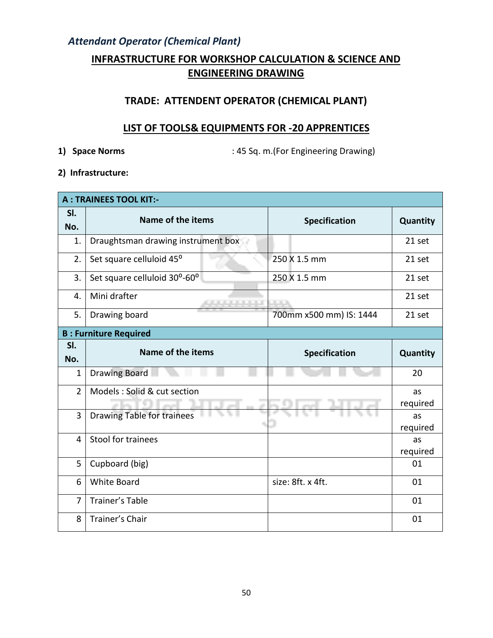#### **INFRASTRUCTURE FOR WORKSHOP CALCULATION & SCIENCE AND ENGINEERING DRAWING**

#### **TRADE: ATTENDENT OPERATOR (CHEMICAL PLANT)**

#### **LIST OF TOOLS& EQUIPMENTS FOR -20 APPRENTICES**

**1) Space Norms** : 45 Sq. m.(For Engineering Drawing)

**2) Infrastructure:** 

|                | <b>A: TRAINEES TOOL KIT:-</b>                                                                                                                                                                                                                        |                         |                |
|----------------|------------------------------------------------------------------------------------------------------------------------------------------------------------------------------------------------------------------------------------------------------|-------------------------|----------------|
| SI.<br>No.     | Name of the items                                                                                                                                                                                                                                    | <b>Specification</b>    | Quantity       |
| 1.             | Draughtsman drawing instrument box                                                                                                                                                                                                                   |                         | 21 set         |
| 2.             | Set square celluloid 45°                                                                                                                                                                                                                             | 250 X 1.5 mm            | 21 set         |
| 3.             | Set square celluloid 30°-60°                                                                                                                                                                                                                         | 250 X 1.5 mm            | 21 set         |
| 4.             | Mini drafter<br><u>The Community of the Community of the Community of the Community of the Community of the Community of the Community of the Community of the Community of the Community of the Community of the Community of the Community of </u> | .                       | 21 set         |
| 5.             | Drawing board                                                                                                                                                                                                                                        | 700mm x500 mm) IS: 1444 | 21 set         |
|                | <b>B: Furniture Required</b>                                                                                                                                                                                                                         |                         |                |
| SI.<br>No.     | Name of the items                                                                                                                                                                                                                                    | <b>Specification</b>    | Quantity       |
| $\mathbf{1}$   | Drawing Board                                                                                                                                                                                                                                        |                         | 20             |
| $\overline{2}$ | Models : Solid & cut section                                                                                                                                                                                                                         |                         | as             |
| 3              | <b>Drawing Table for trainees</b>                                                                                                                                                                                                                    |                         | required<br>as |
|                |                                                                                                                                                                                                                                                      |                         | required       |
| 4              | Stool for trainees                                                                                                                                                                                                                                   |                         | as             |
| 5              | Cupboard (big)                                                                                                                                                                                                                                       |                         | required<br>01 |
| 6              | <b>White Board</b>                                                                                                                                                                                                                                   | size: 8ft. x 4ft.       | 01             |
| $\overline{7}$ | Trainer's Table                                                                                                                                                                                                                                      |                         | 01             |
| 8              | Trainer's Chair                                                                                                                                                                                                                                      |                         | 01             |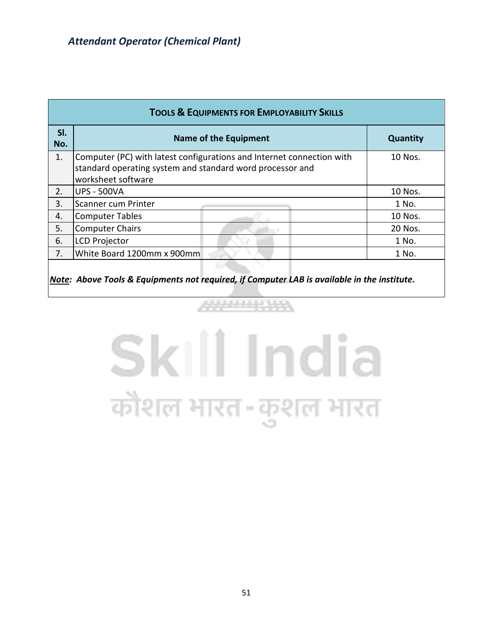|            | <b>TOOLS &amp; EQUIPMENTS FOR EMPLOYABILITY SKILLS</b>                                                                                                   |                 |  |  |  |  |  |  |  |
|------------|----------------------------------------------------------------------------------------------------------------------------------------------------------|-----------------|--|--|--|--|--|--|--|
| SI.<br>No. | <b>Name of the Equipment</b>                                                                                                                             | <b>Quantity</b> |  |  |  |  |  |  |  |
| 1.         | Computer (PC) with latest configurations and Internet connection with<br>standard operating system and standard word processor and<br>worksheet software | 10 Nos.         |  |  |  |  |  |  |  |
| 2.         | IUPS - 500VA                                                                                                                                             | 10 Nos.         |  |  |  |  |  |  |  |
| 3.         | lScanner cum Printer                                                                                                                                     | 1 No.           |  |  |  |  |  |  |  |
| 4.         | Computer Tables                                                                                                                                          | 10 Nos.         |  |  |  |  |  |  |  |
| 5.         | Computer Chairs                                                                                                                                          | 20 Nos.         |  |  |  |  |  |  |  |
| 6.         | LCD Projector                                                                                                                                            | 1 No.           |  |  |  |  |  |  |  |
| 7.         | White Board 1200mm x 900mm                                                                                                                               | 1 No.           |  |  |  |  |  |  |  |
|            |                                                                                                                                                          |                 |  |  |  |  |  |  |  |

*Note: Above Tools & Equipments not required, if Computer LAB is available in the institute.*

# Skill India कौशल भारत-कुशल भारत

444444444